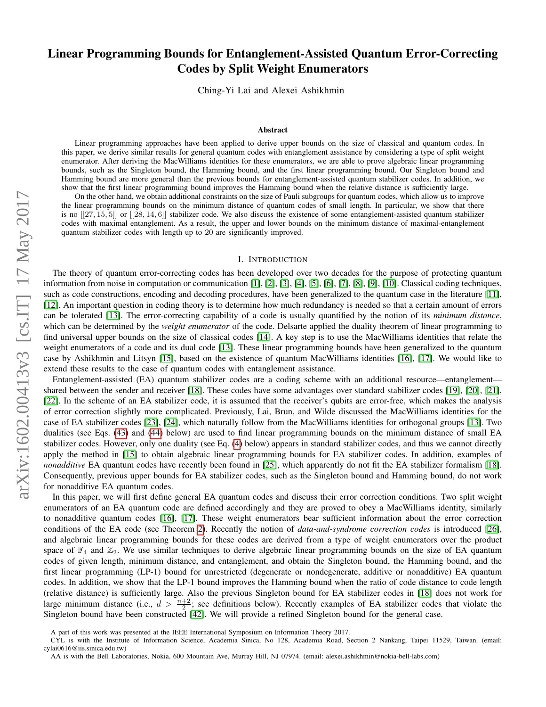# <span id="page-0-0"></span>Linear Programming Bounds for Entanglement-Assisted Quantum Error-Correcting Codes by Split Weight Enumerators

Ching-Yi Lai and Alexei Ashikhmin

#### Abstract

Linear programming approaches have been applied to derive upper bounds on the size of classical and quantum codes. In this paper, we derive similar results for general quantum codes with entanglement assistance by considering a type of split weight enumerator. After deriving the MacWilliams identities for these enumerators, we are able to prove algebraic linear programming bounds, such as the Singleton bound, the Hamming bound, and the first linear programming bound. Our Singleton bound and Hamming bound are more general than the previous bounds for entanglement-assisted quantum stabilizer codes. In addition, we show that the first linear programming bound improves the Hamming bound when the relative distance is sufficiently large.

On the other hand, we obtain additional constraints on the size of Pauli subgroups for quantum codes, which allow us to improve the linear programming bounds on the minimum distance of quantum codes of small length. In particular, we show that there is no  $[27, 15, 5]$  or  $[28, 14, 6]$  stabilizer code. We also discuss the existence of some entanglement-assisted quantum stabilizer codes with maximal entanglement. As a result, the upper and lower bounds on the minimum distance of maximal-entanglement quantum stabilizer codes with length up to 20 are significantly improved.

#### I. INTRODUCTION

arXiv:1602.00413v3 [cs.IT] 17 May 2017 arXiv:1602.00413v3 [cs.IT] 17 May 2017

The theory of quantum error-correcting codes has been developed over two decades for the purpose of protecting quantum information from noise in computation or communication [\[1\]](#page-21-0), [\[2\]](#page-21-1), [\[3\]](#page-21-2), [\[4\]](#page-21-3), [\[5\]](#page-21-4), [\[6\]](#page-21-5), [\[7\]](#page-21-6), [\[8\]](#page-21-7), [\[9\]](#page-21-8), [\[10\]](#page-21-9). Classical coding techniques, such as code constructions, encoding and decoding procedures, have been generalized to the quantum case in the literature [\[11\]](#page-21-10), [\[12\]](#page-21-11). An important question in coding theory is to determine how much redundancy is needed so that a certain amount of errors can be tolerated [\[13\]](#page-21-12). The error-correcting capability of a code is usually quantified by the notion of its *minimum distance*, which can be determined by the *weight enumerator* of the code. Delsarte applied the duality theorem of linear programming to find universal upper bounds on the size of classical codes [\[14\]](#page-21-13). A key step is to use the MacWilliams identities that relate the weight enumerators of a code and its dual code [\[13\]](#page-21-12). These linear programming bounds have been generalized to the quantum case by Ashikhmin and Litsyn [\[15\]](#page-21-14), based on the existence of quantum MacWilliams identities [\[16\]](#page-21-15), [\[17\]](#page-22-0). We would like to extend these results to the case of quantum codes with entanglement assistance.

Entanglement-assisted (EA) quantum stabilizer codes are a coding scheme with an additional resource—entanglement shared between the sender and receiver [\[18\]](#page-22-1). These codes have some advantages over standard stabilizer codes [\[19\]](#page-22-2), [\[20\]](#page-22-3), [\[21\]](#page-22-4), [\[22\]](#page-22-5). In the scheme of an EA stabilizer code, it is assumed that the receiver's qubits are error-free, which makes the analysis of error correction slightly more complicated. Previously, Lai, Brun, and Wilde discussed the MacWilliams identities for the case of EA stabilizer codes [\[23\]](#page-22-6), [\[24\]](#page-22-7), which naturally follow from the MacWilliams identities for orthogonal groups [\[13\]](#page-21-12). Two dualities (see Eqs. [\(43\)](#page-14-0) and [\(44\)](#page-14-1) below) are used to find linear programming bounds on the minimum distance of small EA stabilizer codes. However, only one duality (see Eq. [\(4\)](#page-2-0) below) appears in standard stabilizer codes, and thus we cannot directly apply the method in [\[15\]](#page-21-14) to obtain algebraic linear programming bounds for EA stabilizer codes. In addition, examples of *nonadditive* EA quantum codes have recently been found in [\[25\]](#page-22-8), which apparently do not fit the EA stabilizer formalism [\[18\]](#page-22-1). Consequently, previous upper bounds for EA stabilizer codes, such as the Singleton bound and Hamming bound, do not work for nonadditive EA quantum codes.

In this paper, we will first define general EA quantum codes and discuss their error correction conditions. Two split weight enumerators of an EA quantum code are defined accordingly and they are proved to obey a MacWilliams identity, similarly to nonadditive quantum codes [\[16\]](#page-21-15), [\[17\]](#page-22-0). These weight enumerators bear sufficient information about the error correction conditions of the EA code (see Theorem [2\)](#page-5-0). Recently the notion of *data-and-syndrome correction codes* is introduced [\[26\]](#page-22-9), and algebraic linear programming bounds for these codes are derived from a type of weight enumerators over the product space of  $\mathbb{F}_4$  and  $\mathbb{Z}_2$ . We use similar techniques to derive algebraic linear programming bounds on the size of EA quantum codes of given length, minimum distance, and entanglement, and obtain the Singleton bound, the Hamming bound, and the first linear programming (LP-1) bound for unrestricted (degenerate or nondegenerate, additive or nonadditive) EA quantum codes. In addition, we show that the LP-1 bound improves the Hamming bound when the ratio of code distance to code length (relative distance) is sufficiently large. Also the previous Singleton bound for EA stabilizer codes in [\[18\]](#page-22-1) does not work for large minimum distance (i.e.,  $d > \frac{n+2}{2}$ ; see definitions below). Recently examples of EA stabilizer codes that violate the Singleton bound have been constructed [\[42\]](#page-22-10). We will provide a refined Singleton bound for the general case.

A part of this work was presented at the IEEE International Symposium on Information Theory 2017.

CYL is with the Institute of Information Science, Academia Sinica, No 128, Academia Road, Section 2 Nankang, Taipei 11529, Taiwan. (email: cylai0616@iis.sinica.edu.tw)

AA is with the Bell Laboratories, Nokia, 600 Mountain Ave, Murray Hill, NJ 07974. (email: alexei.ashikhmin@nokia-bell-labs.com)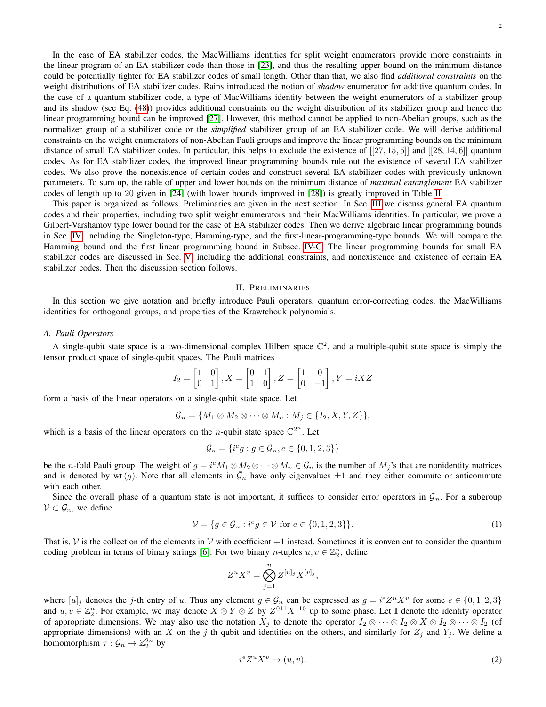In the case of EA stabilizer codes, the MacWilliams identities for split weight enumerators provide more constraints in the linear program of an EA stabilizer code than those in [\[23\]](#page-22-6), and thus the resulting upper bound on the minimum distance could be potentially tighter for EA stabilizer codes of small length. Other than that, we also find *additional constraints* on the weight distributions of EA stabilizer codes. Rains introduced the notion of *shadow* enumerator for additive quantum codes. In the case of a quantum stabilizer code, a type of MacWilliams identity between the weight enumerators of a stabilizer group and its shadow (see Eq. [\(48\)](#page-15-0)) provides additional constraints on the weight distribution of its stabilizer group and hence the linear programming bound can be improved [\[27\]](#page-22-11). However, this method cannot be applied to non-Abelian groups, such as the normalizer group of a stabilizer code or the *simplified* stabilizer group of an EA stabilizer code. We will derive additional constraints on the weight enumerators of non-Abelian Pauli groups and improve the linear programming bounds on the minimum distance of small EA stabilizer codes. In particular, this helps to exclude the existence of  $[[27, 15, 5]]$  and  $[[28, 14, 6]]$  quantum codes. As for EA stabilizer codes, the improved linear programming bounds rule out the existence of several EA stabilizer codes. We also prove the nonexistence of certain codes and construct several EA stabilizer codes with previously unknown parameters. To sum up, the table of upper and lower bounds on the minimum distance of *maximal entanglement* EA stabilizer codes of length up to 20 given in [\[24\]](#page-22-7) (with lower bounds improved in [\[28\]](#page-22-12)) is greatly improved in Table [II.](#page-20-0)

This paper is organized as follows. Preliminaries are given in the next section. In Sec. [III](#page-4-0) we discuss general EA quantum codes and their properties, including two split weight enumerators and their MacWilliams identities. In particular, we prove a Gilbert-Varshamov type lower bound for the case of EA stabilizer codes. Then we derive algebraic linear programming bounds in Sec. [IV,](#page-7-0) including the Singleton-type, Hamming-type, and the first-linear-programming-type bounds. We will compare the Hamming bound and the first linear programming bound in Subsec. [IV-C.](#page-10-0) The linear programming bounds for small EA stabilizer codes are discussed in Sec. [V,](#page-13-0) including the additional constraints, and nonexistence and existence of certain EA stabilizer codes. Then the discussion section follows.

#### II. PRELIMINARIES

In this section we give notation and briefly introduce Pauli operators, quantum error-correcting codes, the MacWilliams identities for orthogonal groups, and properties of the Krawtchouk polynomials.

## *A. Pauli Operators*

A single-qubit state space is a two-dimensional complex Hilbert space  $\mathbb{C}^2$ , and a multiple-qubit state space is simply the tensor product space of single-qubit spaces. The Pauli matrices

$$
I_2 = \begin{bmatrix} 1 & 0 \\ 0 & 1 \end{bmatrix}, X = \begin{bmatrix} 0 & 1 \\ 1 & 0 \end{bmatrix}, Z = \begin{bmatrix} 1 & 0 \\ 0 & -1 \end{bmatrix}, Y = iXZ
$$

form a basis of the linear operators on a single-qubit state space. Let

$$
{\mathcal G}_n = \{M_1 \otimes M_2 \otimes \cdots \otimes M_n : M_j \in \{I_2, X, Y, Z\}\},\
$$

which is a basis of the linear operators on the *n*-qubit state space  $\mathbb{C}^{2^n}$ . Let

$$
\mathcal{G}_n = \{i^e g : g \in \overline{\mathcal{G}}_n, e \in \{0, 1, 2, 3\}\}
$$

be the *n*-fold Pauli group. The weight of  $g = i^e M_1 \otimes M_2 \otimes \cdots \otimes M_n \in \mathcal{G}_n$  is the number of  $M_j$ 's that are nonidentity matrices and is denoted by wt  $(g)$ . Note that all elements in  $\bar{G}_n$  have only eigenvalues  $\pm 1$  and they either commute or anticommute with each other.

Since the overall phase of a quantum state is not important, it suffices to consider error operators in  $\overline{G}_n$ . For a subgroup  $V \subset \mathcal{G}_n$ , we define

$$
\overline{\mathcal{V}} = \{ g \in \overline{\mathcal{G}}_n : i^e g \in \mathcal{V} \text{ for } e \in \{0, 1, 2, 3\} \}. \tag{1}
$$

That is,  $\overline{V}$  is the collection of the elements in V with coefficient +1 instead. Sometimes it is convenient to consider the quantum coding problem in terms of binary strings [\[6\]](#page-21-5). For two binary *n*-tuples  $u, v \in \mathbb{Z}_2^n$ , define

$$
Z^u X^v = \bigotimes_{j=1}^n Z^{[u]_j} X^{[v]_j},
$$

where  $[u]_j$  denotes the j-th entry of u. Thus any element  $g \in \mathcal{G}_n$  can be expressed as  $g = i^e Z^u X^v$  for some  $e \in \{0, 1, 2, 3\}$ and  $u, v \in \mathbb{Z}_2^n$ . For example, we may denote  $X \otimes Y \otimes Z$  by  $Z^{011}X^{110}$  up to some phase. Let I denote the identity operator of appropriate dimensions. We may also use the notation  $X_j$  to denote the operator  $I_2 \otimes \cdots \otimes I_2 \otimes X \otimes I_2 \otimes \cdots \otimes I_2$  (of appropriate dimensions) with an X on the j-th qubit and identities on the others, and similarly for  $Z_j$  and  $Y_j$ . We define a homomorphism  $\tau : \mathcal{G}_n \to \mathbb{Z}_2^{2n}$  by

<span id="page-1-0"></span>
$$
i^e Z^u X^v \mapsto (u, v). \tag{2}
$$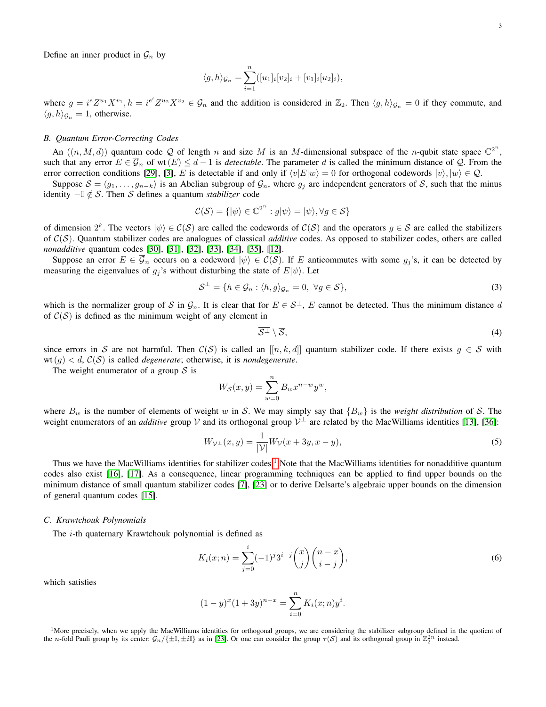Define an inner product in  $\mathcal{G}_n$  by

$$
\langle g, h \rangle_{\mathcal{G}_n} = \sum_{i=1}^n ([u_1]_i [v_2]_i + [v_1]_i [u_2]_i),
$$

where  $g = i^e Z^{u_1} X^{v_1}$ ,  $h = i^{e'} Z^{u_2} X^{v_2} \in \mathcal{G}_n$  and the addition is considered in  $\mathbb{Z}_2$ . Then  $\langle g, h \rangle_{\mathcal{G}_n} = 0$  if they commute, and  $\langle g, h \rangle_{\mathcal{G}_n} = 1$ , otherwise.

#### *B. Quantum Error-Correcting Codes*

An  $((n, M, d))$  quantum code Q of length n and size M is an M-dimensional subspace of the n-qubit state space  $\mathbb{C}^{2^n}$ , such that any error  $E \in \overline{\mathcal{G}}_n$  of wt $(E) \leq d-1$  is *detectable*. The parameter d is called the minimum distance of Q. From the error correction conditions [\[29\]](#page-22-13), [\[3\]](#page-21-2), E is detectable if and only if  $\langle v|E|w\rangle = 0$  for orthogonal codewords  $|v\rangle, |w\rangle \in \mathcal{Q}$ .

Suppose  $S = \langle g_1, \ldots, g_{n-k} \rangle$  is an Abelian subgroup of  $\mathcal{G}_n$ , where  $g_j$  are independent generators of S, such that the minus identity  $-\mathbb{I}$  ∉ S. Then S defines a quantum *stabilizer* code

$$
\mathcal{C}(\mathcal{S}) = \{ |\psi\rangle \in \mathbb{C}^{2^n} : g|\psi\rangle = |\psi\rangle, \forall g \in \mathcal{S} \}
$$

of dimension  $2^k$ . The vectors  $|\psi\rangle \in C(S)$  are called the codewords of  $C(S)$  and the operators  $g \in S$  are called the stabilizers of C(S). Quantum stabilizer codes are analogues of classical *additive* codes. As opposed to stabilizer codes, others are called *nonadditive* quantum codes [\[30\]](#page-22-14), [\[31\]](#page-22-15), [\[32\]](#page-22-16), [\[33\]](#page-22-17), [\[34\]](#page-22-18), [\[35\]](#page-22-19), [\[12\]](#page-21-11).

Suppose an error  $E \in \overline{\mathcal{G}}_n$  occurs on a codeword  $|\psi\rangle \in \mathcal{C}(\mathcal{S})$ . If E anticommutes with some  $g_j$ 's, it can be detected by measuring the eigenvalues of  $g_i$ 's without disturbing the state of  $E|\psi\rangle$ . Let

$$
\mathcal{S}^{\perp} = \{ h \in \mathcal{G}_n : \langle h, g \rangle_{\mathcal{G}_n} = 0, \ \forall g \in \mathcal{S} \},\tag{3}
$$

which is the normalizer group of S in  $\mathcal{G}_n$ . It is clear that for  $E \in \overline{\mathcal{S}^{\perp}}$ , E cannot be detected. Thus the minimum distance d of  $C(S)$  is defined as the minimum weight of any element in

<span id="page-2-1"></span><span id="page-2-0"></span>
$$
\overline{\mathcal{S}^{\perp}}\setminus\overline{\mathcal{S}},\tag{4}
$$

since errors in S are not harmful. Then  $C(S)$  is called an  $[[n, k, d]]$  quantum stabilizer code. If there exists  $g \in S$  with wt(q)  $\lt d$ ,  $C(S)$  is called *degenerate*; otherwise, it is *nondegenerate*.

The weight enumerator of a group  $S$  is

$$
W_{\mathcal{S}}(x,y) = \sum_{w=0}^{n} B_w x^{n-w} y^w,
$$

where  $B_w$  is the number of elements of weight w in S. We may simply say that  $\{B_w\}$  is the *weight distribution* of S. The weight enumerators of an *additive* group V and its orthogonal group  $V^{\perp}$  are related by the MacWilliams identities [\[13\]](#page-21-12), [\[36\]](#page-22-20):

$$
W_{\mathcal{V}^{\perp}}(x,y) = \frac{1}{|\mathcal{V}|} W_{\mathcal{V}}(x+3y, x-y),
$$
\n(5)

Thus we have the MacWilliams identities for stabilizer codes.<sup>[1](#page-0-0)</sup> Note that the MacWilliams identities for nonadditive quantum codes also exist [\[16\]](#page-21-15), [\[17\]](#page-22-0). As a consequence, linear programming techniques can be applied to find upper bounds on the minimum distance of small quantum stabilizer codes [\[7\]](#page-21-6), [\[23\]](#page-22-6) or to derive Delsarte's algebraic upper bounds on the dimension of general quantum codes [\[15\]](#page-21-14).

#### *C. Krawtchouk Polynomials*

The *i*-th quaternary Krawtchouk polynomial is defined as

<span id="page-2-2"></span>
$$
K_i(x; n) = \sum_{j=0}^i (-1)^j 3^{i-j} {x \choose j} {n-x \choose i-j},
$$
\n(6)

which satisfies

$$
(1-y)^{x}(1+3y)^{n-x} = \sum_{i=0}^{n} K_i(x;n)y^{i}.
$$

<sup>1</sup>More precisely, when we apply the MacWilliams identities for orthogonal groups, we are considering the stabilizer subgroup defined in the quotient of the n-fold Pauli group by its center:  $\mathcal{G}_n/\{\pm \mathbb{I}, \pm i\mathbb{I}\}$  as in [\[23\]](#page-22-6). Or one can consider the group  $\tau(S)$  and its orthogonal group in  $\mathbb{Z}_2^{2n}$  instead.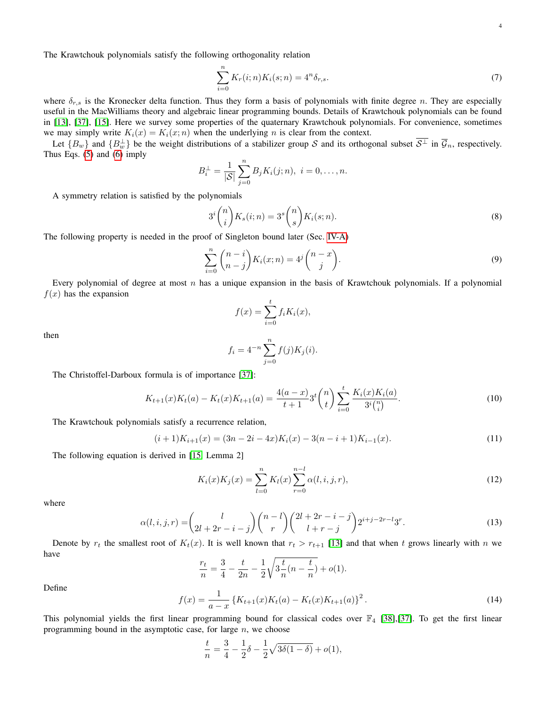The Krawtchouk polynomials satisfy the following orthogonality relation

<span id="page-3-0"></span>
$$
\sum_{i=0}^{n} K_r(i; n) K_i(s; n) = 4^n \delta_{r,s}.
$$
\n(7)

where  $\delta_{r,s}$  is the Kronecker delta function. Thus they form a basis of polynomials with finite degree n. They are especially useful in the MacWilliams theory and algebraic linear programming bounds. Details of Krawtchouk polynomials can be found in [\[13\]](#page-21-12), [\[37\]](#page-22-21), [\[15\]](#page-21-14). Here we survey some properties of the quaternary Krawtchouk polynomials. For convenience, sometimes we may simply write  $K_i(x) = K_i(x; n)$  when the underlying *n* is clear from the context.

Let  $\{B_w\}$  and  $\{B_w^{\perp}\}\$  be the weight distributions of a stabilizer group S and its orthogonal subset  $\overline{S^{\perp}}$  in  $\overline{\mathcal{G}}_n$ , respectively. Thus Eqs. [\(5\)](#page-2-1) and [\(6\)](#page-2-2) imply

$$
B_i^{\perp} = \frac{1}{|S|} \sum_{j=0}^{n} B_j K_i(j; n), \ i = 0, \dots, n.
$$

A symmetry relation is satisfied by the polynomials

$$
3^{i}\binom{n}{i}K_{s}(i;n) = 3^{s}\binom{n}{s}K_{i}(s;n). \tag{8}
$$

The following property is needed in the proof of Singleton bound later (Sec. [IV-A\)](#page-8-0)

$$
\sum_{i=0}^{n} {n-i \choose n-j} K_i(x;n) = 4^j {n-x \choose j}.
$$
\n(9)

Every polynomial of degree at most  $n$  has a unique expansion in the basis of Krawtchouk polynomials. If a polynomial  $f(x)$  has the expansion

<span id="page-3-1"></span>
$$
f(x) = \sum_{i=0}^{t} f_i K_i(x),
$$

then

<span id="page-3-5"></span><span id="page-3-4"></span><span id="page-3-3"></span>
$$
f_i = 4^{-n} \sum_{j=0}^{n} f(j) K_j(i).
$$

The Christoffel-Darboux formula is of importance [\[37\]](#page-22-21):

$$
K_{t+1}(x)K_t(a) - K_t(x)K_{t+1}(a) = \frac{4(a-x)}{t+1}3^t \binom{n}{t} \sum_{i=0}^t \frac{K_i(x)K_i(a)}{3^i \binom{n}{i}}.
$$
\n
$$
(10)
$$

The Krawtchouk polynomials satisfy a recurrence relation,

$$
(i+1)K_{i+1}(x) = (3n-2i-4x)K_i(x) - 3(n-i+1)K_{i-1}(x).
$$
\n(11)

The following equation is derived in [\[15,](#page-21-14) Lemma 2]

<span id="page-3-2"></span>
$$
K_i(x)K_j(x) = \sum_{l=0}^{n} K_l(x) \sum_{r=0}^{n-l} \alpha(l, i, j, r),
$$
\n(12)

where

$$
\alpha(l,i,j,r) = {l \choose 2l+2r-i-j} {n-l \choose r} {2l+2r-i-j \choose l+r-j} 2^{i+j-2r-l} 3^r.
$$
\n(13)

Denote by  $r_t$  the smallest root of  $K_t(x)$ . It is well known that  $r_t > r_{t+1}$  [\[13\]](#page-21-12) and that when t grows linearly with n we have

$$
\frac{r_t}{n} = \frac{3}{4} - \frac{t}{2n} - \frac{1}{2} \sqrt{3\frac{t}{n}(n - \frac{t}{n})} + o(1).
$$

Define

$$
f(x) = \frac{1}{a - x} \left\{ K_{t+1}(x) K_t(a) - K_t(x) K_{t+1}(a) \right\}^2.
$$
 (14)

This polynomial yields the first linear programming bound for classical codes over  $\mathbb{F}_4$  [\[38\]](#page-22-22),[\[37\]](#page-22-21). To get the first linear programming bound in the asymptotic case, for large  $n$ , we choose

$$
\frac{t}{n} = \frac{3}{4} - \frac{1}{2}\delta - \frac{1}{2}\sqrt{3\delta(1-\delta)} + o(1),
$$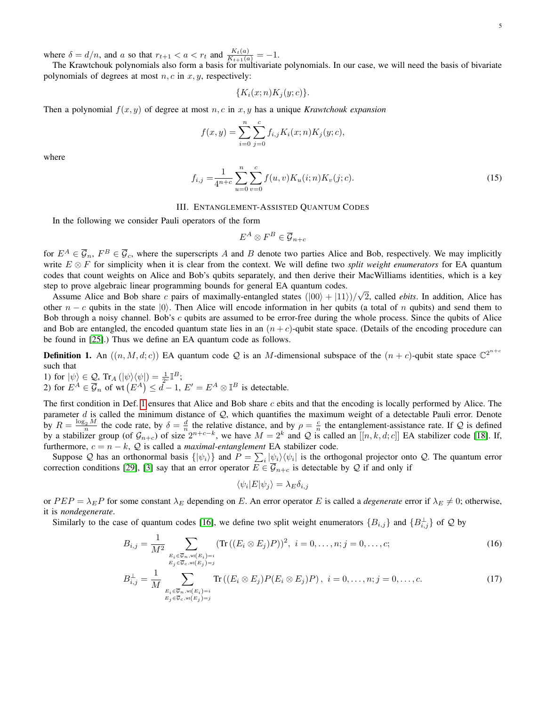where  $\delta = d/n$ , and a so that  $r_{t+1} < a < r_t$  and  $\frac{K_t(a)}{K_{t+1}(a)} = -1$ .

The Krawtchouk polynomials also form a basis for multivariate polynomials. In our case, we will need the basis of bivariate polynomials of degrees at most  $n, c$  in  $x, y$ , respectively:

$$
\{K_i(x;n)K_j(y;c)\}.
$$

Then a polynomial  $f(x, y)$  of degree at most  $n, c$  in  $x, y$  has a unique *Krawtchouk expansion* 

$$
f(x,y) = \sum_{i=0}^{n} \sum_{j=0}^{c} f_{i,j} K_i(x;n) K_j(y;c),
$$

where

$$
f_{i,j} = \frac{1}{4^{n+c}} \sum_{u=0}^{n} \sum_{v=0}^{c} f(u,v) K_u(i;n) K_v(j;c).
$$
 (15)

# III. ENTANGLEMENT-ASSISTED QUANTUM CODES

<span id="page-4-0"></span>In the following we consider Pauli operators of the form

<span id="page-4-4"></span>
$$
E^A \otimes F^B \in \overline{\mathcal{G}}_{n+c}
$$

for  $E^A \in \overline{\mathcal{G}}_n$ ,  $F^B \in \overline{\mathcal{G}}_c$ , where the superscripts A and B denote two parties Alice and Bob, respectively. We may implicitly write E ⊗ F for simplicity when it is clear from the context. We will define two *split weight enumerators* for EA quantum codes that count weights on Alice and Bob's qubits separately, and then derive their MacWilliams identities, which is a key step to prove algebraic linear programming bounds for general EA quantum codes. √

Assume Alice and Bob share c pairs of maximally-entangled states  $(|00\rangle + |11\rangle)/$ 2, called *ebits*. In addition, Alice has other  $n - c$  qubits in the state  $|0\rangle$ . Then Alice will encode information in her qubits (a total of n qubits) and send them to Bob through a noisy channel. Bob's c qubits are assumed to be error-free during the whole process. Since the qubits of Alice and Bob are entangled, the encoded quantum state lies in an  $(n + c)$ -qubit state space. (Details of the encoding procedure can be found in [\[25\]](#page-22-8).) Thus we define an EA quantum code as follows.

<span id="page-4-1"></span>**Definition 1.** An  $((n, M, d; c))$  EA quantum code Q is an M-dimensional subspace of the  $(n + c)$ -qubit state space  $\mathbb{C}^{2^{n+c}}$ such that

1) for  $|\psi\rangle \in \mathcal{Q}$ , Tr<sub>A</sub>  $(|\psi\rangle \langle \psi|) = \frac{1}{2c} \mathbb{I}^B$ ; 2) for  $E^A \in \overline{\mathcal{G}}_n$  of wt  $(E^A) \leq d-1$ ,  $E' = E^A \otimes \mathbb{I}^B$  is detectable.

The first condition in Def. [1](#page-4-1) ensures that Alice and Bob share c ebits and that the encoding is locally performed by Alice. The parameter d is called the minimum distance of  $Q$ , which quantifies the maximum weight of a detectable Pauli error. Denote by  $R = \frac{\log_2 M}{n}$  the code rate, by  $\delta = \frac{d}{n}$  the relative distance, and by  $\rho = \frac{c}{n}$  the entanglement-assistance rate. If Q is defined by a stabilizer group (of  $\mathcal{G}_{n+c}$ ) of size  $2^{n+c-k}$ , we have  $M = 2^k$  and Q is called an  $[[n, k, d; c]]$  EA stabilizer code [\[18\]](#page-22-1). If, furthermore,  $c = n - k$ ,  $Q$  is called a *maximal-entanglement* EA stabilizer code.

Suppose Q has an orthonormal basis  $\{|\psi_i\rangle\}$  and  $P = \sum_i |\psi_i\rangle\langle\psi_i|$  is the orthogonal projector onto Q. The quantum error correction conditions [\[29\]](#page-22-13), [\[3\]](#page-21-2) say that an error operator  $E \in \overline{\mathcal{G}}_{n+c}$  is detectable by Q if and only if

<span id="page-4-3"></span><span id="page-4-2"></span>
$$
\langle \psi_i | E | \psi_j \rangle = \lambda_E \delta_{i,j}
$$

or  $PEP = \lambda_E P$  for some constant  $\lambda_E$  depending on E. An error operator E is called a *degenerate* error if  $\lambda_E \neq 0$ ; otherwise, it is *nondegenerate*.

Similarly to the case of quantum codes [\[16\]](#page-21-15), we define two split weight enumerators  ${B_{i,j}}$  and  ${B_{i,j}^{\perp}}$  of Q by

$$
B_{i,j} = \frac{1}{M^2} \sum_{\substack{E_i \in \overline{\mathcal{G}}_n, \text{wt}(E_i) = i \\ E_j \in \overline{\mathcal{G}}_c, \text{wt}(E_i) = j}} (\text{Tr}\left((E_i \otimes E_j)P\right))^2, \ i = 0, \dots, n; j = 0, \dots, c; \nB_{i,j}^\perp = \frac{1}{M} \sum_{\substack{E_i \in \overline{\mathcal{G}}_n, \text{wt}(E_i) = i \\ E_j \in \overline{\mathcal{G}}_c, \text{wt}(E_j) = j}} \text{Tr}\left((E_i \otimes E_j)P(E_i \otimes E_j)P\right), \ i = 0, \dots, n; j = 0, \dots, c. \tag{17}
$$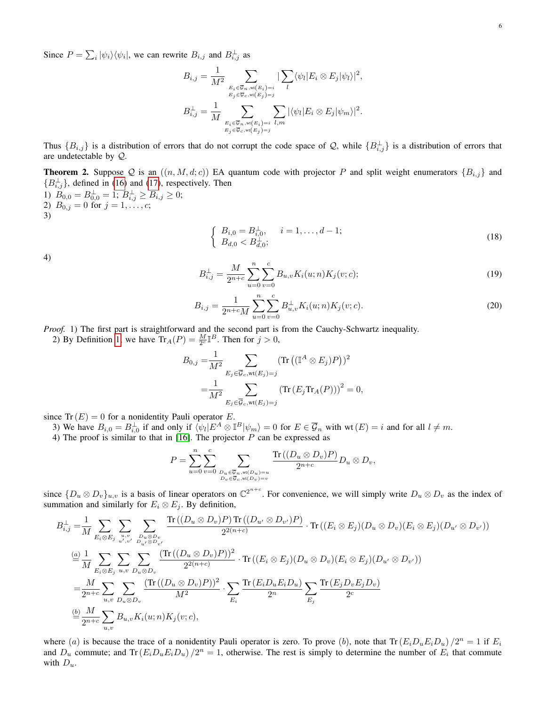Since  $P = \sum_i |\psi_i\rangle\langle\psi_i|$ , we can rewrite  $B_{i,j}$  and  $B_{i,j}^{\perp}$  as

$$
B_{i,j} = \frac{1}{M^2} \sum_{\substack{E_i \in \overline{\mathcal{G}}_n, \mathbf{w}(E_i) = i \\ E_j \in \overline{\mathcal{G}}_c, \mathbf{w}(E_j) = j}} |\sum_l \langle \psi_l | E_i \otimes E_j | \psi_l \rangle|^2,
$$
  

$$
B_{i,j}^{\perp} = \frac{1}{M} \sum_{\substack{E_i \in \overline{\mathcal{G}}_n, \mathbf{w}(E_i) = i \\ E_j \in \overline{\mathcal{G}}_c, \mathbf{w}(E_j) = j}} |\langle \psi_l | E_i \otimes E_j | \psi_m \rangle|^2.
$$

Thus  $\{B_{i,j}\}$  is a distribution of errors that do not corrupt the code space of Q, while  $\{B_{i,j}^{\perp}\}$  is a distribution of errors that are undetectable by Q.

<span id="page-5-0"></span>**Theorem 2.** Suppose Q is an  $((n, M, d; c))$  EA quantum code with projector P and split weight enumerators  $\{B_{i,j}\}\$  and  ${B_{i,j}^{\perp}}$ , defined in [\(16\)](#page-4-2) and [\(17\)](#page-4-3), respectively. Then

1)  $B_{0,0} = B_{0,0}^{\perp} = 1$ ;  $B_{i,j}^{\perp} \ge B_{i,j} \ge 0$ ; 2)  $B_{0,j} = 0$  for  $j = 1, \ldots, c;$ 

3)

<span id="page-5-3"></span>
$$
\begin{cases}\nB_{i,0} = B_{i,0}^{\perp}, & i = 1, \dots, d - 1; \\
B_{d,0} < B_{d,0}^{\perp};\n\end{cases}\n\tag{18}
$$

<span id="page-5-2"></span><span id="page-5-1"></span>4)

$$
B_{i,j}^{\perp} = \frac{M}{2^{n+c}} \sum_{u=0}^{n} \sum_{v=0}^{c} B_{u,v} K_i(u;n) K_j(v;c); \qquad (19)
$$

$$
B_{i,j} = \frac{1}{2^{n+c}M} \sum_{u=0}^{n} \sum_{v=0}^{c} B_{u,v}^{\perp} K_i(u;n) K_j(v;c).
$$
 (20)

*Proof.* 1) The first part is straightforward and the second part is from the Cauchy-Schwartz inequality.

2) By Definition [1,](#page-4-1) we have  $\text{Tr}_A(P) = \frac{M}{2^c} \mathbb{I}^B$ . Then for  $j > 0$ ,

$$
B_{0,j} = \frac{1}{M^2} \sum_{E_j \in \overline{\mathcal{G}}_c, \text{wt}(E_j) = j} (\text{Tr}((\mathbb{I}^A \otimes E_j)P))^2
$$
  
= 
$$
\frac{1}{M^2} \sum_{E_j \in \overline{\mathcal{G}}_c, \text{wt}(E_j) = j} (\text{Tr}(E_j \text{Tr}_A(P)))^2 = 0,
$$

since  $Tr(E) = 0$  for a nonidentity Pauli operator E.

3) We have  $B_{i,0} = B_{i,0}^{\perp}$  if and only if  $\langle \psi_l | E^A \otimes I^B | \psi_m \rangle = 0$  for  $E \in \overline{\mathcal{G}}_n$  with wt $(E) = i$  and for all  $l \neq m$ .

4) The proof is similar to that in [\[16\]](#page-21-15). The projector  $P$  can be expressed as

$$
P = \sum_{u=0}^{n} \sum_{v=0}^{c} \sum_{\substack{D_u \in \overline{\mathcal{G}}_n, \text{wt}(D_u) = u \\ D_v \in \overline{\mathcal{G}}_c, \text{wt}(D_v) = v}} \frac{\text{Tr}\left((D_u \otimes D_v)P\right)}{2^{n+c}} D_u \otimes D_v,
$$

since  $\{D_u \otimes D_v\}_{u,v}$  is a basis of linear operators on  $\mathbb{C}^{2^{n+c}}$ . For convenience, we will simply write  $D_u \otimes D_v$  as the index of summation and similarly for  $E_i \otimes E_j$ . By definition,

$$
B_{i,j}^{\perp} = \frac{1}{M} \sum_{E_i \otimes E_j} \sum_{\substack{u,v \ b u' \in D_v \\ u',v'}} \frac{\text{Tr}\left((D_u \otimes D_v)P\right) \text{Tr}\left((D_{u'} \otimes D_{v'})P\right)}{2^{2(n+c)}} \cdot \text{Tr}\left((E_i \otimes E_j)(D_u \otimes D_v)(E_i \otimes E_j)(D_{u'} \otimes D_{v'})\right)
$$
  
\n
$$
\stackrel{(a)}{=} \frac{1}{M} \sum_{E_i \otimes E_j} \sum_{u,v} \sum_{D_u \otimes D_v} \frac{(\text{Tr}\left((D_u \otimes D_v)P\right))^2}{2^{2(n+c)}} \cdot \text{Tr}\left((E_i \otimes E_j)(D_u \otimes D_v)(E_i \otimes E_j)(D_{u'} \otimes D_{v'})\right)
$$
  
\n
$$
= \frac{M}{2^{n+c}} \sum_{u,v} \sum_{D_u \otimes D_v} \frac{(\text{Tr}\left((D_u \otimes D_v)P\right))^2}{M^2} \cdot \sum_{E_i} \frac{\text{Tr}\left(E_i D_u E_i D_u\right)}{2^n} \sum_{E_j} \frac{\text{Tr}\left(E_j D_v E_j D_v\right)}{2^c}
$$
  
\n
$$
\stackrel{(b)}{=} \frac{M}{2^{n+c}} \sum_{u,v} B_{u,v} K_i(u; n) K_j(v; c),
$$

where (a) is because the trace of a nonidentity Pauli operator is zero. To prove (b), note that  $Tr(E_iD_uE_iD_u)/2^n = 1$  if  $E_i$ and  $D_u$  commute; and  $\text{Tr}(E_i D_u E_i D_u) / 2^n = 1$ , otherwise. The rest is simply to determine the number of  $E_i$  that commute with  $D_u$ .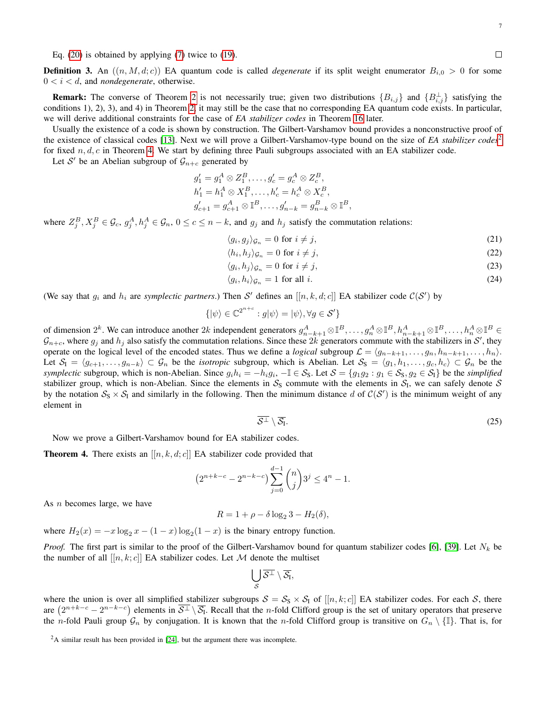Eq. [\(20\)](#page-5-1) is obtained by applying [\(7\)](#page-3-0) twice to [\(19\)](#page-5-2).

**Definition 3.** An  $((n, M, d; c))$  EA quantum code is called *degenerate* if its split weight enumerator  $B_{i,0} > 0$  for some  $0 < i < d$ , and *nondegenerate*, otherwise.

**Remark:** The converse of Theorem [2](#page-5-0) is not necessarily true; given two distributions  $\{B_{i,j}\}\$  and  $\{B_{i,j}\}\$  satisfying the conditions 1), 2), 3), and 4) in Theorem [2,](#page-5-0) it may still be the case that no corresponding EA quantum code exists. In particular, we will derive additional constraints for the case of *EA stabilizer codes* in Theorem [16](#page-16-0) later.

Usually the existence of a code is shown by construction. The Gilbert-Varshamov bound provides a nonconstructive proof of the existence of classical codes [\[13\]](#page-21-12). Next we will prove a Gilbert-Varshamov-type bound on the size of *EA stabilizer codes*<sup>[2](#page-0-0)</sup> for fixed  $n, d, c$  in Theorem [4.](#page-6-0) We start by defining three Pauli subgroups associated with an EA stabilizer code.

Let S' be an Abelian subgroup of  $\mathcal{G}_{n+c}$  generated by

$$
g'_1 = g_1^A \otimes Z_1^B, \dots, g'_c = g_c^A \otimes Z_c^B, h'_1 = h_1^A \otimes X_1^B, \dots, h'_c = h_c^A \otimes X_c^B, g'_{c+1} = g_{c+1}^A \otimes \mathbb{I}^B, \dots, g'_{n-k} = g_{n-k}^B \otimes \mathbb{I}^B,
$$

where  $Z_j^B, X_j^B \in \mathcal{G}_c$ ,  $g_j^A, h_j^A \in \mathcal{G}_n$ ,  $0 \le c \le n - k$ , and  $g_j$  and  $h_j$  satisfy the commutation relations:

$$
\langle g_i, g_j \rangle_{\mathcal{G}_n} = 0 \text{ for } i \neq j,
$$
\n<sup>(21)</sup>

$$
\langle h_i, h_j \rangle_{\mathcal{G}_n} = 0 \text{ for } i \neq j,
$$
\n
$$
(22)
$$

$$
\langle g_i, h_j \rangle_{\mathcal{G}_n} = 0 \text{ for } i \neq j,
$$
\n
$$
(23)
$$

$$
\langle g_i, h_i \rangle_{\mathcal{G}_n} = 1 \text{ for all } i. \tag{24}
$$

(We say that  $g_i$  and  $h_i$  are *symplectic partners*.) Then S' defines an  $[[n, k, d; c]]$  EA stabilizer code  $C(S')$  by

$$
\{|\psi\rangle \in \mathbb{C}^{2^{n+c}} : g|\psi\rangle = |\psi\rangle, \forall g \in \mathcal{S}'\}
$$

of dimension  $2^k$ . We can introduce another  $2k$  independent generators  $g_{n-k+1}^A \otimes \mathbb{I}^B, \ldots, g_n^A \otimes \mathbb{I}^B, h_{n-k+1}^A \otimes \mathbb{I}^B, \ldots, h_n^A \otimes \mathbb{I}^B \in$  $\mathcal{G}_{n+c}$ , where  $g_j$  and  $h_j$  also satisfy the commutation relations. Since these  $2k$  generators commute with the stabilizers in  $\mathcal{S}'$ , they operate on the logical level of the encoded states. Thus we define a *logical* subgroup  $\mathcal{L} = \langle g_{n-k+1}, \ldots, g_n, h_{n-k+1}, \ldots, h_n \rangle$ . Let  $S_1 = \langle g_{c+1}, \ldots, g_{n-k} \rangle \subset G_n$  be the *isotropic* subgroup, which is Abelian. Let  $S_5 = \langle g_1, h_1, \ldots, g_c, h_c \rangle \subset G_n$  be the *symplectic* subgroup, which is non-Abelian. Since  $g_i h_i = -h_i g_i$ ,  $-\mathbb{I} \in \mathcal{S}_S$ . Let  $\mathcal{S} = \{g_1 g_2 : g_1 \in \mathcal{S}_S, g_2 \in \mathcal{S}_I\}$  be the *simplified* stabilizer group, which is non-Abelian. Since the elements in  $S_S$  commute with the elements in  $S_I$ , we can safely denote S by the notation  $S_S \times S_I$  and similarly in the following. Then the minimum distance d of  $C(S')$  is the minimum weight of any element in

$$
\overline{\mathcal{S}^{\perp}} \setminus \overline{\mathcal{S}_{\mathrm{I}}}.\tag{25}
$$

Now we prove a Gilbert-Varshamov bound for EA stabilizer codes.

<span id="page-6-0"></span>**Theorem 4.** There exists an  $[[n, k, d; c]]$  EA stabilizer code provided that

$$
(2^{n+k-c} - 2^{n-k-c}) \sum_{j=0}^{d-1} \binom{n}{j} 3^j \le 4^n - 1.
$$

As  $n$  becomes large, we have

$$
R = 1 + \rho - \delta \log_2 3 - H_2(\delta),
$$

where  $H_2(x) = -x \log_2 x - (1 - x) \log_2(1 - x)$  is the binary entropy function.

*Proof.* The first part is similar to the proof of the Gilbert-Varshamov bound for quantum stabilizer codes [\[6\]](#page-21-5), [\[39\]](#page-22-23). Let  $N_k$  be the number of all  $[[n, k; c]]$  EA stabilizer codes. Let M denote the multiset

$$
\bigcup_{\mathcal{S}} \overline{\mathcal{S}^\perp} \setminus \overline{\mathcal{S}_I},
$$

where the union is over all simplified stabilizer subgroups  $S = S_S \times S_I$  of  $[[n, k; c]]$  EA stabilizer codes. For each S, there are  $(2^{n+k-c}-2^{n-k-c})$  elements in  $\overline{\mathcal{S}^{\perp}} \setminus \overline{\mathcal{S}_1}$ . Recall that the *n*-fold Clifford group is the set of unitary operators that preserve the *n*-fold Pauli group  $\mathcal{G}_n$  by conjugation. It is known that the *n*-fold Clifford group is transitive on  $G_n \setminus \{\mathbb{I}\}\$ . That is, for

<span id="page-6-4"></span><span id="page-6-3"></span><span id="page-6-2"></span><span id="page-6-1"></span> $\Box$ 

 $2A$  similar result has been provided in [\[24\]](#page-22-7), but the argument there was incomplete.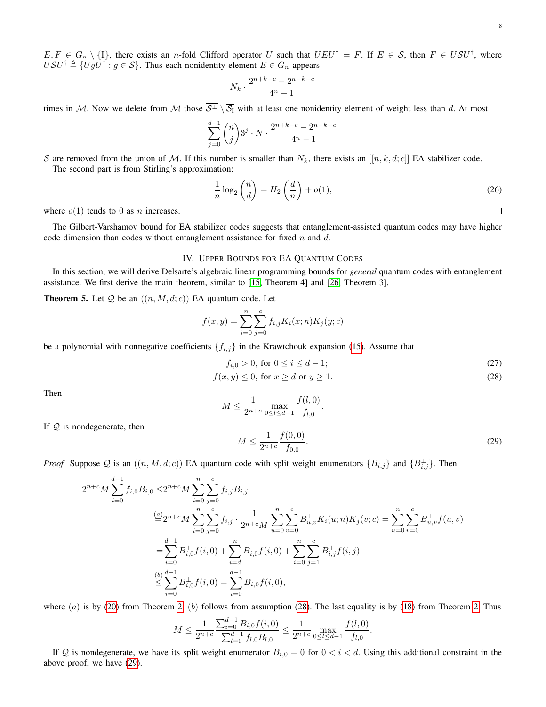$$
N_k \cdot \frac{2^{n+k-c} - 2^{n-k-c}}{4^n - 1}
$$

times in M. Now we delete from M those  $\overline{S^{\perp}} \setminus \overline{S_I}$  with at least one nonidentity element of weight less than d. At most

$$
\sum_{j=0}^{d-1} \binom{n}{j} 3^j \cdot N \cdot \frac{2^{n+k-c} - 2^{n-k-c}}{4^n - 1}
$$

S are removed from the union of M. If this number is smaller than  $N_k$ , there exists an  $[[n, k, d; c]]$  EA stabilizer code. The second part is from Stirling's approximation:

<span id="page-7-5"></span>
$$
\frac{1}{n}\log_2\binom{n}{d} = H_2\left(\frac{d}{n}\right) + o(1),\tag{26}
$$

where  $o(1)$  tends to 0 as *n* increases.

The Gilbert-Varshamov bound for EA stabilizer codes suggests that entanglement-assisted quantum codes may have higher code dimension than codes without entanglement assistance for fixed n and d.

#### IV. UPPER BOUNDS FOR EA QUANTUM CODES

<span id="page-7-0"></span>In this section, we will derive Delsarte's algebraic linear programming bounds for *general* quantum codes with entanglement assistance. We first derive the main theorem, similar to [\[15,](#page-21-14) Theorem 4] and [\[26,](#page-22-9) Theorem 3].

<span id="page-7-4"></span>**Theorem 5.** Let  $Q$  be an  $((n, M, d; c))$  EA quantum code. Let

$$
f(x,y) = \sum_{i=0}^{n} \sum_{j=0}^{c} f_{i,j} K_i(x;n) K_j(y;c)
$$

be a polynomial with nonnegative coefficients  $\{f_{i,j}\}$  in the Krawtchouk expansion [\(15\)](#page-4-4). Assume that

$$
f_{i,0} > 0 \text{, for } 0 \le i \le d - 1; \tag{27}
$$

$$
f(x,y) \le 0, \text{ for } x \ge d \text{ or } y \ge 1. \tag{28}
$$

Then

<span id="page-7-2"></span>
$$
M \le \frac{1}{2^{n+c}} \max_{0 \le l \le d-1} \frac{f(l,0)}{f_{l,0}}.
$$

If  $Q$  is nondegenerate, then

<span id="page-7-3"></span><span id="page-7-1"></span>
$$
M \le \frac{1}{2^{n+c}} \frac{f(0,0)}{f_{0,0}}.\tag{29}
$$

*Proof.* Suppose Q is an  $((n, M, d; c))$  EA quantum code with split weight enumerators  $\{B_{i,j}\}\$  and  $\{B_{i,j}^{\perp}\}\$ . Then

$$
2^{n+c}M\sum_{i=0}^{d-1}f_{i,0}B_{i,0} \leq 2^{n+c}M\sum_{i=0}^{n}\sum_{j=0}^{c}f_{i,j}B_{i,j}
$$
  
\n
$$
\stackrel{(a)}{=}2^{n+c}M\sum_{i=0}^{n}\sum_{j=0}^{c}f_{i,j}\cdot\frac{1}{2^{n+c}M}\sum_{u=0}^{n}\sum_{v=0}^{c}B_{u,v}^{\perp}K_{i}(u;n)K_{j}(v;c)=\sum_{u=0}^{n}\sum_{v=0}^{c}B_{u,v}^{\perp}f(u,v)
$$
  
\n
$$
=\sum_{i=0}^{d-1}B_{i,0}^{\perp}f(i,0)+\sum_{i=d}^{n}B_{i,0}^{\perp}f(i,0)+\sum_{i=0}^{n}\sum_{j=1}^{c}B_{i,j}^{\perp}f(i,j)
$$
  
\n
$$
\stackrel{(b)}{\leq}\sum_{i=0}^{d-1}B_{i,0}^{\perp}f(i,0)=\sum_{i=0}^{d-1}B_{i,0}f(i,0),
$$

where (a) is by [\(20\)](#page-5-1) from Theorem [2;](#page-5-0) (b) follows from assumption [\(28\)](#page-7-1). The last equality is by [\(18\)](#page-5-3) from Theorem [2.](#page-5-0) Thus

$$
M \le \frac{1}{2^{n+c}} \frac{\sum_{i=0}^{d-1} B_{i,0} f(i,0)}{\sum_{l=0}^{d-1} f_{l,0} B_{l,0}} \le \frac{1}{2^{n+c}} \max_{0 \le l \le d-1} \frac{f(l,0)}{f_{l,0}}.
$$

If Q is nondegenerate, we have its split weight enumerator  $B_{i,0} = 0$  for  $0 < i < d$ . Using this additional constraint in the above proof, we have [\(29\)](#page-7-2).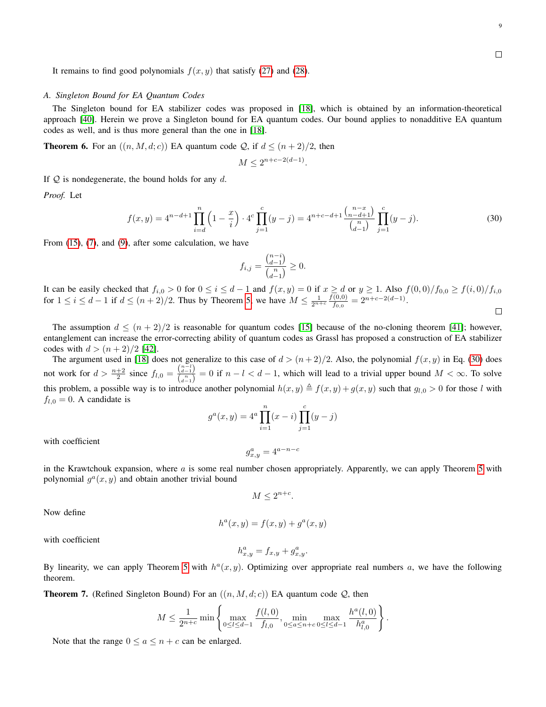<span id="page-8-1"></span> $\Box$ 

It remains to find good polynomials  $f(x, y)$  that satisfy [\(27\)](#page-7-3) and [\(28\)](#page-7-1).

#### <span id="page-8-0"></span>*A. Singleton Bound for EA Quantum Codes*

The Singleton bound for EA stabilizer codes was proposed in [\[18\]](#page-22-1), which is obtained by an information-theoretical approach [\[40\]](#page-22-24). Herein we prove a Singleton bound for EA quantum codes. Our bound applies to nonadditive EA quantum codes as well, and is thus more general than the one in [\[18\]](#page-22-1).

**Theorem 6.** For an  $((n, M, d; c))$  EA quantum code Q, if  $d \leq (n + 2)/2$ , then

$$
M \le 2^{n+c-2(d-1)}.
$$

If  $\mathcal Q$  is nondegenerate, the bound holds for any d.

*Proof.* Let

$$
f(x,y) = 4^{n-d+1} \prod_{i=d}^{n} \left(1 - \frac{x}{i}\right) \cdot 4^c \prod_{j=1}^c (y-j) = 4^{n+c-d+1} \frac{\binom{n-x}{n-d+1}}{\binom{n}{d-1}} \prod_{j=1}^c (y-j).
$$
 (30)

From [\(15\)](#page-4-4), [\(7\)](#page-3-0), and [\(9\)](#page-3-1), after some calculation, we have

$$
f_{i,j} = \frac{{n-i \choose d-1}}{{n \choose d-1}} \geq 0.
$$

It can be easily checked that  $f_{i,0} > 0$  for  $0 \le i \le d-1$  and  $f(x,y) = 0$  if  $x \ge d$  or  $y \ge 1$ . Also  $f(0,0)/f_{0,0} \ge f(i,0)/f_{i,0}$ for  $1 \le i \le d-1$  if  $d \le (n+2)/2$ . Thus by Theorem [5,](#page-7-4) we have  $M \le \frac{1}{2^{n+c}} \frac{f(0,0)}{f_{0,0}}$  $\frac{(0,0)}{f_{0,0}}=2^{n+c-2(d-1)}.$  $\Box$ 

The assumption  $d \leq (n+2)/2$  is reasonable for quantum codes [\[15\]](#page-21-14) because of the no-cloning theorem [\[41\]](#page-22-25); however, entanglement can increase the error-correcting ability of quantum codes as Grassl has proposed a construction of EA stabilizer codes with  $d > (n+2)/2$  [\[42\]](#page-22-10).

The argument used in [\[18\]](#page-22-1) does not generalize to this case of  $d > (n+2)/2$ . Also, the polynomial  $f(x, y)$  in Eq. [\(30\)](#page-8-1) does not work for  $d > \frac{n+2}{2}$  since  $f_{l,0} = \frac{\binom{n-1}{d-1}}{\binom{n}{l}}$  $\frac{d^{(d-1)}}{d^{(n-1)}} = 0$  if  $n - l < d - 1$ , which will lead to a trivial upper bound  $M < \infty$ . To solve this problem, a possible way is to introduce another polynomial  $h(x, y) \triangleq f(x, y) + g(x, y)$  such that  $g_{l,0} > 0$  for those l with  $f_{l,0} = 0$ . A candidate is

$$
g^{a}(x, y) = 4^{a} \prod_{i=1}^{n} (x - i) \prod_{j=1}^{c} (y - j)
$$

with coefficient

$$
g_{x,y}^a = 4^{a-n-c}
$$

in the Krawtchouk expansion, where  $a$  is some real number chosen appropriately. Apparently, we can apply Theorem [5](#page-7-4) with polynomial  $g^a(x, y)$  and obtain another trivial bound

$$
M \le 2^{n+c}.
$$

Now define

$$
h^{a}(x,y) = f(x,y) + g^{a}(x,y)
$$

with coefficient

$$
h_{x,y}^a = f_{x,y} + g_{x,y}^a.
$$

By linearity, we can apply Theorem [5](#page-7-4) with  $h^a(x, y)$ . Optimizing over appropriate real numbers a, we have the following theorem.

<span id="page-8-2"></span>**Theorem 7.** (Refined Singleton Bound) For an  $((n, M, d; c))$  EA quantum code  $Q$ , then

$$
M \leq \frac{1}{2^{n+c}} \min \left\{ \max_{0 \leq l \leq d-1} \frac{f(l,0)}{f_{l,0}}, \min_{0 \leq a \leq n+c} \max_{0 \leq l \leq d-1} \frac{h^a(l,0)}{h^a_{l,0}} \right\}.
$$

Note that the range  $0 \le a \le n + c$  can be enlarged.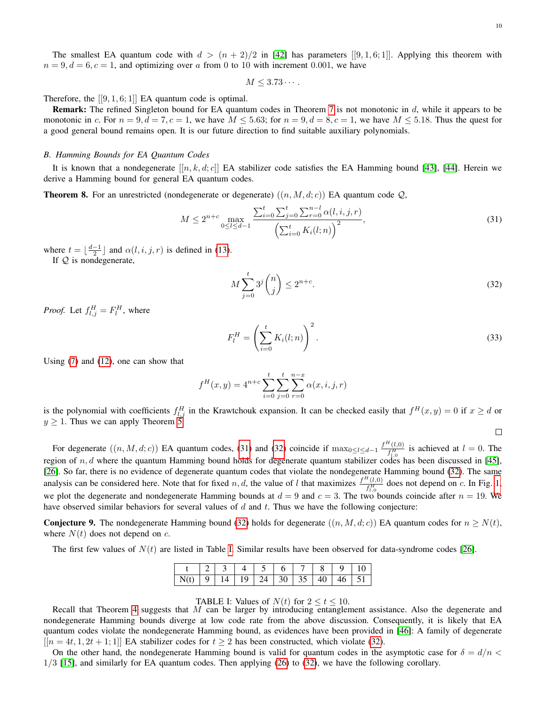The smallest EA quantum code with  $d > (n + 2)/2$  in [\[42\]](#page-22-10) has parameters [[9, 1, 6; 1]]. Applying this theorem with  $n = 9, d = 6, c = 1$ , and optimizing over a from 0 to 10 with increment 0.001, we have

$$
M\leq 3.73\cdots.
$$

Therefore, the  $[[9,1,6;1]]$  EA quantum code is optimal.

Remark: The refined Singleton bound for EA quantum codes in Theorem [7](#page-8-2) is not monotonic in d, while it appears to be monotonic in c. For  $n = 9, d = 7, c = 1$ , we have  $M \le 5.63$ ; for  $n = 9, d = 8, c = 1$ , we have  $M \le 5.18$ . Thus the quest for a good general bound remains open. It is our future direction to find suitable auxiliary polynomials.

#### *B. Hamming Bounds for EA Quantum Codes*

It is known that a nondegenerate  $[[n, k, d; c]]$  EA stabilizer code satisfies the EA Hamming bound [\[43\]](#page-22-26), [\[44\]](#page-22-27). Herein we derive a Hamming bound for general EA quantum codes.

**Theorem 8.** For an unrestricted (nondegenerate or degenerate)  $((n, M, d, c))$  EA quantum code  $Q$ ,

$$
M \le 2^{n+c} \max_{0 \le l \le d-1} \frac{\sum_{i=0}^{t} \sum_{j=0}^{t} \sum_{r=0}^{n-l} \alpha(l, i, j, r)}{\left(\sum_{i=0}^{t} K_i(l; n)\right)^2},\tag{31}
$$

where  $t = \lfloor \frac{d-1}{2} \rfloor$  and  $\alpha(l, i, j, r)$  is defined in [\(13\)](#page-3-2).

If  $Q$  is nondegenerate,

$$
M\sum_{j=0}^{t} 3^{j} \binom{n}{j} \le 2^{n+c}.\tag{32}
$$

*Proof.* Let  $f_{l,j}^H = F_l^H$ , where

$$
F_l^H = \left(\sum_{i=0}^t K_i(l; n)\right)^2.
$$
\n(33)

Using [\(7\)](#page-3-0) and [\(12\)](#page-3-3), one can show that

$$
f^{H}(x, y) = 4^{n+c} \sum_{i=0}^{t} \sum_{j=0}^{n} \sum_{r=0}^{n-x} \alpha(x, i, j, r)
$$

is the polynomial with coefficients  $f_{l,j}^H$  in the Krawtchouk expansion. It can be checked easily that  $f^H(x,y) = 0$  if  $x \ge d$  or  $y \geq 1$ . Thus we can apply Theorem [5.](#page-7-4)

<span id="page-9-3"></span><span id="page-9-1"></span><span id="page-9-0"></span> $\Box$ 

For degenerate  $((n, M, d; c))$  EA quantum codes, [\(31\)](#page-9-0) and [\(32\)](#page-9-1) coincide if  $\max_{0 \le l \le d-1} \frac{f^H(i,0)}{f^H}$  $\frac{\partial f_{l,0}^{H}}{\partial f_{l,0}^{H}}$  is achieved at  $l = 0$ . The region of  $n, d$  where the quantum Hamming bound holds for degenerate quantum stabilizer codes has been discussed in [\[45\]](#page-22-28), [\[26\]](#page-22-9). So far, there is no evidence of degenerate quantum codes that violate the nondegenerate Hamming bound [\(32\)](#page-9-1). The same analysis can be considered here. Note that for fixed n, d, the value of l that maximizes  $\frac{f^H(l,0)}{f^H}$  $\frac{t,0)}{f_{t,0}^H}$  does not depend on c. In Fig. [1,](#page-10-1) we plot the degenerate and nondegenerate Hamming bounds at  $d = 9$  and  $c = 3$ . The two bounds coincide after  $n = 19$ . We have observed similar behaviors for several values of  $d$  and  $t$ . Thus we have the following conjecture:

**Conjecture 9.** The nondegenerate Hamming bound [\(32\)](#page-9-1) holds for degenerate  $((n, M, d; c))$  EA quantum codes for  $n \geq N(t)$ , where  $N(t)$  does not depend on c.

<span id="page-9-2"></span>The first few values of  $N(t)$  are listed in Table [I.](#page-9-2) Similar results have been observed for data-syndrome codes [\[26\]](#page-22-9).

|                                                    | 2 3 4 5 6 7 8 9 10 |  |  |  |  |
|----------------------------------------------------|--------------------|--|--|--|--|
| $N(t)$   9   14   19   24   30   35   40   46   51 |                    |  |  |  |  |

TABLE I: Values of  $N(t)$  for  $2 \le t \le 10$ .

Recall that Theorem [4](#page-6-0) suggests that M can be larger by introducing entanglement assistance. Also the degenerate and nondegenerate Hamming bounds diverge at low code rate from the above discussion. Consequently, it is likely that EA quantum codes violate the nondegenerate Hamming bound, as evidences have been provided in [\[46\]](#page-22-29): A family of degenerate  $[ [n = 4t, 1, 2t + 1; 1] ]$  EA stabilizer codes for  $t \ge 2$  has been constructed, which violate [\(32\)](#page-9-1).

On the other hand, the nondegenerate Hamming bound is valid for quantum codes in the asymptotic case for  $\delta = d/n$ 1/3 [\[15\]](#page-21-14), and similarly for EA quantum codes. Then applying [\(26\)](#page-7-5) to [\(32\)](#page-9-1), we have the following corollary.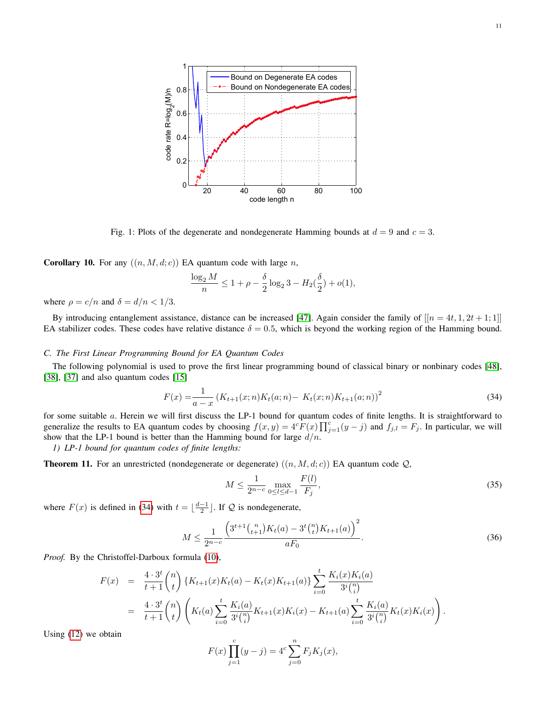<span id="page-10-1"></span>

Fig. 1: Plots of the degenerate and nondegenerate Hamming bounds at  $d = 9$  and  $c = 3$ .

**Corollary 10.** For any  $((n, M, d; c))$  EA quantum code with large n,

$$
\frac{\log_2 M}{n} \le 1 + \rho - \frac{\delta}{2} \log_2 3 - H_2(\frac{\delta}{2}) + o(1),
$$

where  $\rho = c/n$  and  $\delta = d/n < 1/3$ .

By introducing entanglement assistance, distance can be increased [\[47\]](#page-22-30). Again consider the family of  $[[n = 4t, 1, 2t + 1; 1]]$ EA stabilizer codes. These codes have relative distance  $\delta = 0.5$ , which is beyond the working region of the Hamming bound.

#### <span id="page-10-0"></span>*C. The First Linear Programming Bound for EA Quantum Codes*

The following polynomial is used to prove the first linear programming bound of classical binary or nonbinary codes [\[48\]](#page-22-31), [\[38\]](#page-22-22), [\[37\]](#page-22-21) and also quantum codes [\[15\]](#page-21-14)

$$
F(x) = \frac{1}{a - x} \left( K_{t+1}(x; n) K_t(a; n) - K_t(x; n) K_{t+1}(a; n) \right)^2
$$
\n(34)

for some suitable a. Herein we will first discuss the LP-1 bound for quantum codes of finite lengths. It is straightforward to generalize the results to EA quantum codes by choosing  $f(x, y) = 4cF(x) \prod_{j=1}^{c} (y - j)$  and  $f_{j,l} = F_j$ . In particular, we will show that the LP-1 bound is better than the Hamming bound for large  $d/n$ .

*1) LP-1 bound for quantum codes of finite lengths:*

**Theorem 11.** For an unrestricted (nondegenerate or degenerate)  $((n, M, d; c))$  EA quantum code  $Q$ ,

<span id="page-10-2"></span>
$$
M \le \frac{1}{2^{n-c}} \max_{0 \le l \le d-1} \frac{F(l)}{F_j},\tag{35}
$$

where  $F(x)$  is defined in [\(34\)](#page-10-2) with  $t = \lfloor \frac{d-1}{2} \rfloor$ . If  $\mathcal Q$  is nondegenerate,

$$
M \le \frac{1}{2^{n-c}} \frac{\left(3^{t+1} {n \choose t+1} K_t(a) - 3^t {n \choose t} K_{t+1}(a)\right)^2}{aF_0}.
$$
\n(36)

*Proof.* By the Christoffel-Darboux formula [\(10\)](#page-3-4),

$$
F(x) = \frac{4 \cdot 3^t}{t+1} {n \choose t} \{K_{t+1}(x)K_t(a) - K_t(x)K_{t+1}(a)\} \sum_{i=0}^t \frac{K_i(x)K_i(a)}{3^i {n \choose i}}
$$
  
= 
$$
\frac{4 \cdot 3^t}{t+1} {n \choose t} \left(K_t(a) \sum_{i=0}^t \frac{K_i(a)}{3^i {n \choose i}} K_{t+1}(x)K_i(x) - K_{t+1}(a) \sum_{i=0}^t \frac{K_i(a)}{3^i {n \choose i}} K_t(x)K_i(x)\right).
$$

Using [\(12\)](#page-3-3) we obtain

$$
F(x) \prod_{j=1}^{c} (y - j) = 4^{c} \sum_{j=0}^{n} F_{j} K_{j}(x),
$$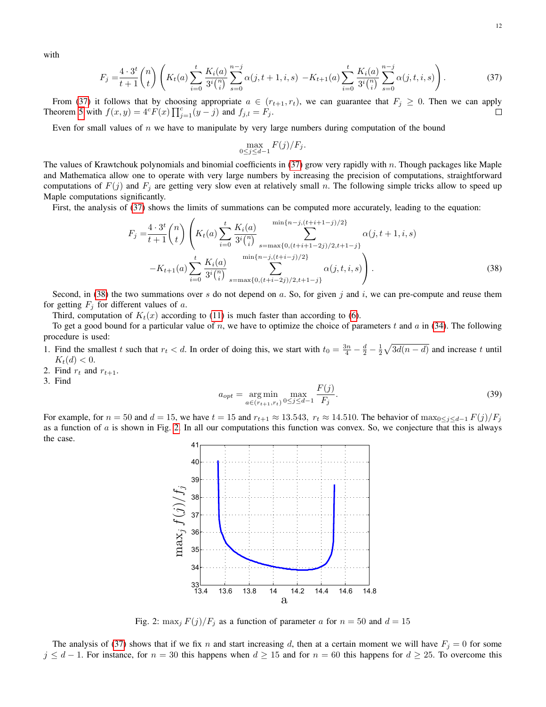with

$$
F_j = \frac{4 \cdot 3^t}{t+1} {n \choose t} \left( K_t(a) \sum_{i=0}^t \frac{K_i(a)}{3^i {n \choose i}} \sum_{s=0}^{n-j} \alpha(j, t+1, i, s) - K_{t+1}(a) \sum_{i=0}^t \frac{K_i(a)}{3^i {n \choose i}} \sum_{s=0}^{n-j} \alpha(j, t, i, s) \right).
$$
 (37)

From [\(37\)](#page-11-0) it follows that by choosing appropriate  $a \in (r_{t+1}, r_t)$ , we can guarantee that  $F_j \ge 0$ . Then we can apply Theorem [5](#page-7-4) with  $f(x, y) = 4^c F(x) \prod_{j=1}^c (y - j)$  and  $f_{j,l} = F_j$ .  $\Box$ 

Even for small values of  $n$  we have to manipulate by very large numbers during computation of the bound

<span id="page-11-1"></span><span id="page-11-0"></span>
$$
\max_{0 \le j \le d-1} F(j)/F_j.
$$

The values of Krawtchouk polynomials and binomial coefficients in [\(37\)](#page-11-0) grow very rapidly with n. Though packages like Maple and Mathematica allow one to operate with very large numbers by increasing the precision of computations, straightforward computations of  $F(j)$  and  $F_j$  are getting very slow even at relatively small n. The following simple tricks allow to speed up Maple computations significantly.

First, the analysis of [\(37\)](#page-11-0) shows the limits of summations can be computed more accurately, leading to the equation:

$$
F_{j} = \frac{4 \cdot 3^{t}}{t+1} {n \choose t} \left( K_{t}(a) \sum_{i=0}^{t} \frac{K_{i}(a)}{3^{i} {n \choose i}} \sum_{s=\max\{0,(t+i+1-2j)/2,t+1-j\}}^{\min\{n-j,(t+i-1-j)/2\}} \alpha(j,t+1,i,s) \right. \\ \left. - K_{t+1}(a) \sum_{i=0}^{t} \frac{K_{i}(a)}{3^{i} {n \choose i}} \sum_{s=\max\{0,(t+i-2j)/2,t+1-j\}}^{\min\{n-j,(t+i-1)/2\}} \alpha(j,t,i,s) \right). \tag{38}
$$

Second, in [\(38\)](#page-11-1) the two summations over s do not depend on a. So, for given j and i, we can pre-compute and reuse them for getting  $F_i$  for different values of a.

Third, computation of  $K_t(x)$  according to [\(11\)](#page-3-5) is much faster than according to [\(6\)](#page-2-2).

To get a good bound for a particular value of n, we have to optimize the choice of parameters t and  $a$  in [\(34\)](#page-10-2). The following procedure is used:

- 1. Find the smallest t such that  $r_t < d$ . In order of doing this, we start with  $t_0 = \frac{3n}{4} \frac{d}{2} \frac{1}{2}\sqrt{3d(n-d)}$  and increase t until  $K_t(d) < 0.$
- <span id="page-11-3"></span>2. Find  $r_t$  and  $r_{t+1}$ .
- 3. Find

$$
a_{opt} = \underset{a \in (r_{t+1}, r_t)}{\arg \min} \max_{0 \le j \le d-1} \frac{F(j)}{F_j}.
$$
\n(39)

<span id="page-11-2"></span>For example, for  $n = 50$  and  $d = 15$ , we have  $t = 15$  and  $r_{t+1} \approx 13.543$ ,  $r_t \approx 14.510$ . The behavior of  $\max_{0 \leq i \leq d-1} F(j)/F_i$ as a function of  $\alpha$  is shown in Fig. [2.](#page-11-2) In all our computations this function was convex. So, we conjecture that this is always the case.



Fig. 2:  $\max_j F(j)/F_j$  as a function of parameter a for  $n = 50$  and  $d = 15$ 

The analysis of [\(37\)](#page-11-0) shows that if we fix n and start increasing d, then at a certain moment we will have  $F_i = 0$  for some  $j \leq d-1$ . For instance, for  $n = 30$  this happens when  $d \geq 15$  and for  $n = 60$  this happens for  $d \geq 25$ . To overcome this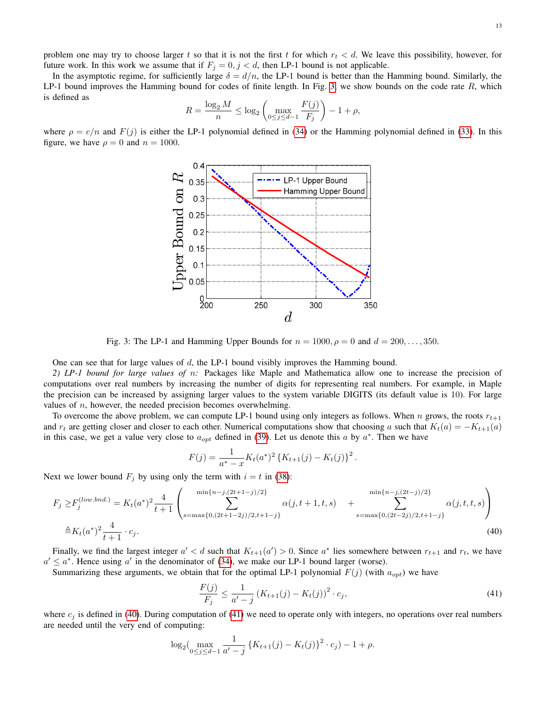problem one may try to choose larger t so that it is not the first t for which  $r_t < d$ . We leave this possibility, however, for future work. In this work we assume that if  $F_j = 0, j < d$ , then LP-1 bound is not applicable.

In the asymptotic regime, for sufficiently large  $\delta = d/n$ , the LP-1 bound is better than the Hamming bound. Similarly, the LP-1 bound improves the Hamming bound for codes of finite length. In Fig. [3,](#page-12-0) we show bounds on the code rate  $R$ , which is defined as

$$
R = \frac{\log_2 M}{n} \le \log_2 \left( \max_{0 \le j \le d-1} \frac{F(j)}{F_j} \right) - 1 + \rho,
$$

<span id="page-12-0"></span>where  $\rho = c/n$  and  $F(j)$  is either the LP-1 polynomial defined in [\(34\)](#page-10-2) or the Hamming polynomial defined in [\(33\)](#page-9-3). In this figure, we have  $\rho = 0$  and  $n = 1000$ .



Fig. 3: The LP-1 and Hamming Upper Bounds for  $n = 1000$ ,  $\rho = 0$  and  $d = 200, \ldots, 350$ .

One can see that for large values of  $d$ , the LP-1 bound visibly improves the Hamming bound.

*2) LP-1 bound for large values of* n*:* Packages like Maple and Mathematica allow one to increase the precision of computations over real numbers by increasing the number of digits for representing real numbers. For example, in Maple the precision can be increased by assigning larger values to the system variable DIGITS (its default value is 10). For large values of  $n$ , however, the needed precision becomes overwhelming.

To overcome the above problem, we can compute LP-1 bound using only integers as follows. When n grows, the roots  $r_{t+1}$ and  $r_t$  are getting closer and closer to each other. Numerical computations show that choosing a such that  $K_t(a) = -K_{t+1}(a)$ in this case, we get a value very close to  $a_{opt}$  defined in [\(39\)](#page-11-3). Let us denote this a by  $a^*$ . Then we have

$$
F(j) = \frac{1}{a^* - x} K_t(a^*)^2 \left\{ K_{t+1}(j) - K_t(j) \right\}^2.
$$

Next we lower bound  $F_j$  by using only the term with  $i = t$  in [\(38\)](#page-11-1):

$$
F_j \ge F_j^{(low,bnd.)} = K_t(a^*)^2 \frac{4}{t+1} \left( \sum_{s=\max\{0,(2t+1-2j)/2,t+1-j\}}^{\min\{n-j,(2t+1-j)/2\}} \alpha(j,t+1,t,s) + \sum_{s=\max\{0,(2t-2j)/2,t+1-j\}}^{\min\{n-j,(2t-j)/2\}} \alpha(j,t,t,s) \right)
$$
\n
$$
\triangleq K_t(a^*)^2 \frac{4}{t+1} \cdot c_j.
$$
\n(40)

Finally, we find the largest integer  $a' < d$  such that  $K_{t+1}(a') > 0$ . Since  $a^*$  lies somewhere between  $r_{t+1}$  and  $r_t$ , we have  $a' \le a^*$ . Hence using a' in the denominator of [\(34\)](#page-10-2), we make our LP-1 bound larger (worse).

Summarizing these arguments, we obtain that for the optimal LP-1 polynomial  $F(j)$  (with  $a_{opt}$ ) we have

<span id="page-12-2"></span><span id="page-12-1"></span>
$$
\frac{F(j)}{F_j} \le \frac{1}{a'-j} \left( K_{t+1}(j) - K_t(j) \right)^2 \cdot c_j,
$$
\n(41)

where  $c_j$  is defined in [\(40\)](#page-12-1). During computation of [\(41\)](#page-12-2) we need to operate only with integers, no operations over real numbers are needed until the very end of computing:

$$
\log_2(\max_{0 \le j \le d-1} \frac{1}{a'-j} \left\{ K_{t+1}(j) - K_t(j) \right\}^2 \cdot c_j) - 1 + \rho.
$$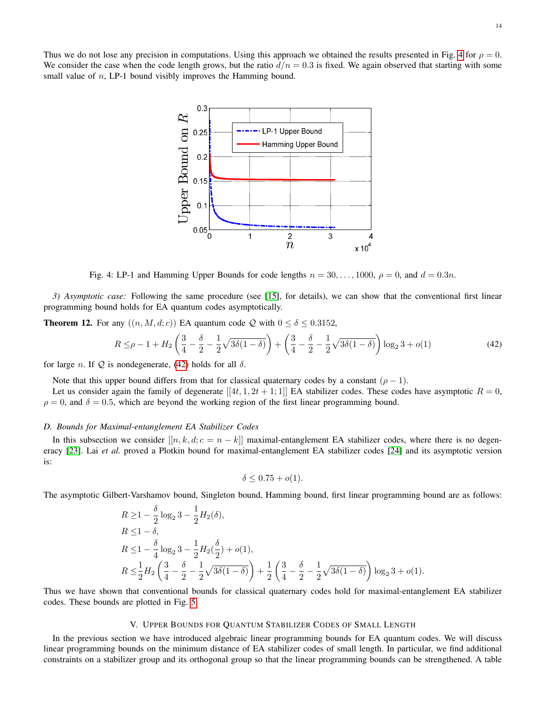<span id="page-13-1"></span>Thus we do not lose any precision in computations. Using this approach we obtained the results presented in Fig. [4](#page-13-1) for  $\rho = 0$ . We consider the case when the code length grows, but the ratio  $d/n = 0.3$  is fixed. We again observed that starting with some small value of *n*, LP-1 bound visibly improves the Hamming bound.



Fig. 4: LP-1 and Hamming Upper Bounds for code lengths  $n = 30, \ldots, 1000, \rho = 0$ , and  $d = 0.3n$ .

*3) Asymptotic case:* Following the same procedure (see [\[15\]](#page-21-14), for details), we can show that the conventional first linear programming bound holds for EA quantum codes asymptotically.

**Theorem 12.** For any  $((n, M, d; c))$  EA quantum code Q with  $0 \le \delta \le 0.3152$ ,

$$
R \leq \rho - 1 + H_2 \left( \frac{3}{4} - \frac{\delta}{2} - \frac{1}{2} \sqrt{3\delta(1 - \delta)} \right) + \left( \frac{3}{4} - \frac{\delta}{2} - \frac{1}{2} \sqrt{3\delta(1 - \delta)} \right) \log_2 3 + o(1)
$$
\n(42)

for large *n*. If  $Q$  is nondegenerate, [\(42\)](#page-13-2) holds for all  $\delta$ .

Note that this upper bound differs from that for classical quaternary codes by a constant  $(\rho - 1)$ .

Let us consider again the family of degenerate  $[[4t, 1, 2t + 1; 1]]$  EA stabilizer codes. These codes have asymptotic  $R = 0$ ,  $\rho = 0$ , and  $\delta = 0.5$ , which are beyond the working region of the first linear programming bound.

## *D. Bounds for Maximal-entanglement EA Stabilizer Codes*

In this subsection we consider  $[[n, k, d; c = n - k]]$  maximal-entanglement EA stabilizer codes, where there is no degen-eracy [\[23\]](#page-22-6). Lai et al. proved a Plotkin bound for maximal-entanglement EA stabilizer codes [\[24\]](#page-22-7) and its asymptotic version is:

<span id="page-13-2"></span>
$$
\delta \leq 0.75 + o(1).
$$

The asymptotic Gilbert-Varshamov bound, Singleton bound, Hamming bound, first linear programming bound are as follows:

$$
R \ge 1 - \frac{\delta}{2} \log_2 3 - \frac{1}{2} H_2(\delta),
$$
  
\n
$$
R \le 1 - \delta,
$$
  
\n
$$
R \le 1 - \frac{\delta}{4} \log_2 3 - \frac{1}{2} H_2(\frac{\delta}{2}) + o(1),
$$
  
\n
$$
R \le \frac{1}{2} H_2 \left(\frac{3}{4} - \frac{\delta}{2} - \frac{1}{2} \sqrt{3\delta(1 - \delta)}\right) + \frac{1}{2} \left(\frac{3}{4} - \frac{\delta}{2} - \frac{1}{2} \sqrt{3\delta(1 - \delta)}\right) \log_2 3 + o(1).
$$

Thus we have shown that conventional bounds for classical quaternary codes hold for maximal-entanglement EA stabilizer codes. These bounds are plotted in Fig. [5.](#page-14-2)

## V. UPPER BOUNDS FOR QUANTUM STABILIZER CODES OF SMALL LENGTH

<span id="page-13-0"></span>In the previous section we have introduced algebraic linear programming bounds for EA quantum codes. We will discuss linear programming bounds on the minimum distance of EA stabilizer codes of small length. In particular, we find additional constraints on a stabilizer group and its orthogonal group so that the linear programming bounds can be strengthened. A table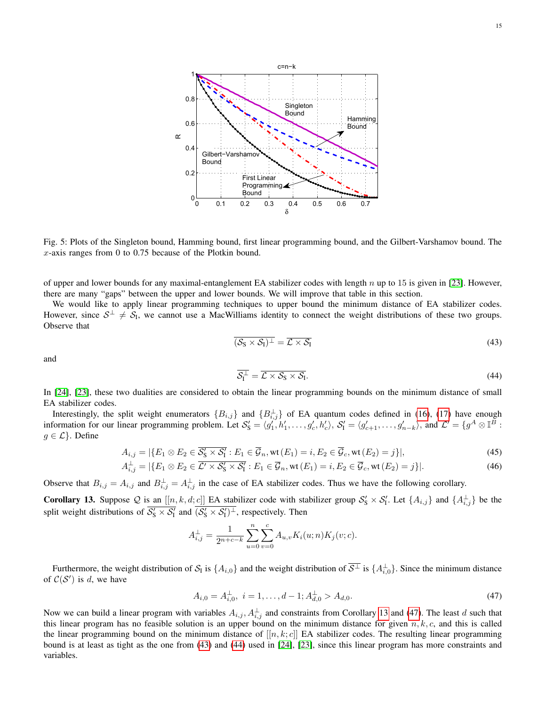<span id="page-14-2"></span>

Fig. 5: Plots of the Singleton bound, Hamming bound, first linear programming bound, and the Gilbert-Varshamov bound. The  $x$ -axis ranges from 0 to 0.75 because of the Plotkin bound.

of upper and lower bounds for any maximal-entanglement EA stabilizer codes with length  $n$  up to 15 is given in [\[23\]](#page-22-6). However, there are many "gaps" between the upper and lower bounds. We will improve that table in this section.

We would like to apply linear programming techniques to upper bound the minimum distance of EA stabilizer codes. However, since  $S^{\perp} \neq S_I$ , we cannot use a MacWilliams identity to connect the weight distributions of these two groups. Observe that

<span id="page-14-0"></span>
$$
\overline{(\mathcal{S}_S \times \mathcal{S}_I)^{\perp}} = \overline{\mathcal{L} \times \mathcal{S}_I}
$$
\n(43)

and

<span id="page-14-6"></span><span id="page-14-5"></span><span id="page-14-1"></span>
$$
\overline{\mathcal{S}_1^{\perp}} = \overline{\mathcal{L} \times \mathcal{S}_S \times \mathcal{S}_I}.
$$
\n(44)

In [\[24\]](#page-22-7), [\[23\]](#page-22-6), these two dualities are considered to obtain the linear programming bounds on the minimum distance of small EA stabilizer codes.

Interestingly, the split weight enumerators  ${B_{i,j}}$  and  ${B_{i,j}^{\perp}}$  of EA quantum codes defined in [\(16\)](#page-4-2), [\(17\)](#page-4-3) have enough information for our linear programming problem. Let  $S'_S = \langle g'_1, h'_1, \ldots, g'_c, h'_c \rangle$ ,  $S'_1 = \langle g'_{c+1}, \ldots, g'_{n-k} \rangle$ , and  $\mathcal{L}' = \{ g^A \otimes \mathbb{I}^B :$  $g \in \mathcal{L}$ . Define

$$
A_{i,j} = |\{E_1 \otimes E_2 \in \overline{\mathcal{S}_S' \times \mathcal{S}_1'} : E_1 \in \overline{\mathcal{G}}_n, \text{wt}(E_1) = i, E_2 \in \overline{\mathcal{G}}_c, \text{wt}(E_2) = j\}|,\tag{45}
$$

$$
A_{i,j}^{\perp} = |\{E_1 \otimes E_2 \in \overline{\mathcal{L}' \times \mathcal{S}'_S \times \mathcal{S}'_1} : E_1 \in \overline{\mathcal{G}}_n, \text{wt}(E_1) = i, E_2 \in \overline{\mathcal{G}}_c, \text{wt}(E_2) = j\}|. \tag{46}
$$

Observe that  $B_{i,j} = A_{i,j}$  and  $B_{i,j}^{\perp} = A_{i,j}^{\perp}$  in the case of EA stabilizer codes. Thus we have the following corollary.

<span id="page-14-3"></span>**Corollary 13.** Suppose Q is an  $[[n, k, d; c]]$  EA stabilizer code with stabilizer group  $S'_S \times S'_I$ . Let  $\{A_{i,j}\}\$ and  $\{A_{i,j}^{\perp}\}\$ be the split weight distributions of  $\overline{S'_S \times S'_I}$  and  $\overline{(S'_S \times S'_I)^{\perp}}$ , respectively. Then

$$
A_{i,j}^{\perp} = \frac{1}{2^{n+c-k}} \sum_{u=0}^{n} \sum_{v=0}^{c} A_{u,v} K_i(u;n) K_j(v;c).
$$

Furthermore, the weight distribution of  $S_1$  is  $\{A_{i,0}\}\$  and the weight distribution of  $\overline{S^{\perp}}$  is  $\{A_{i,0}^{\perp}\}\$ . Since the minimum distance of  $C(S')$  is d, we have

<span id="page-14-4"></span>
$$
A_{i,0} = A_{i,0}^{\perp}, \ i = 1, \dots, d - 1; A_{d,0}^{\perp} > A_{d,0}.
$$
\n
$$
(47)
$$

Now we can build a linear program with variables  $A_{i,j}$ ,  $A_{i,j}^{\perp}$  and constraints from Corollary [13](#page-14-3) and [\(47\)](#page-14-4). The least d such that this linear program has no feasible solution is an upper bound on the minimum distance for given  $n, k, c$ , and this is called the linear programming bound on the minimum distance of  $[[n, k; c]]$  EA stabilizer codes. The resulting linear programming bound is at least as tight as the one from [\(43\)](#page-14-0) and [\(44\)](#page-14-1) used in [\[24\]](#page-22-7), [\[23\]](#page-22-6), since this linear program has more constraints and variables.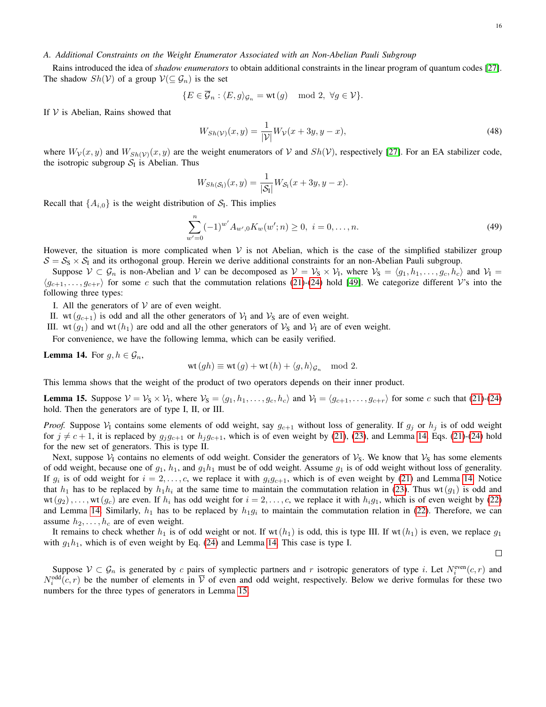## *A. Additional Constraints on the Weight Enumerator Associated with an Non-Abelian Pauli Subgroup*

Rains introduced the idea of *shadow enumerators* to obtain additional constraints in the linear program of quantum codes [\[27\]](#page-22-11). The shadow  $Sh(V)$  of a group  $V(\subseteq \mathcal{G}_n)$  is the set

$$
\{E \in \overline{\mathcal{G}}_n : \langle E, g \rangle_{\mathcal{G}_n} = \text{wt}(g) \mod 2, \ \forall g \in \mathcal{V}\}.
$$

If  $V$  is Abelian, Rains showed that

<span id="page-15-0"></span>
$$
W_{Sh(\mathcal{V})}(x,y) = \frac{1}{|\mathcal{V}|} W_{\mathcal{V}}(x+3y, y-x),
$$
\n(48)

where  $W_{\mathcal{V}}(x, y)$  and  $W_{Sh(\mathcal{V})}(x, y)$  are the weight enumerators of V and  $Sh(\mathcal{V})$ , respectively [\[27\]](#page-22-11). For an EA stabilizer code, the isotropic subgroup  $S_I$  is Abelian. Thus

<span id="page-15-3"></span>
$$
W_{Sh(\mathcal{S}_1)}(x,y)=\frac{1}{|\mathcal{S}_1|}W_{\mathcal{S}_1}(x+3y,y-x).
$$

Recall that  $\{A_{i,0}\}\$ is the weight distribution of  $S_I$ . This implies

$$
\sum_{w'=0}^{n} (-1)^{w'} A_{w',0} K_w(w'; n) \ge 0, \ i = 0, \dots, n. \tag{49}
$$

However, the situation is more complicated when  $V$  is not Abelian, which is the case of the simplified stabilizer group  $S = S_S \times S_I$  and its orthogonal group. Herein we derive additional constraints for an non-Abelian Pauli subgroup.

Suppose  $V \subset \mathcal{G}_n$  is non-Abelian and V can be decomposed as  $V = V_S \times V_I$ , where  $V_S = \langle g_1, h_1, \dots, g_c, h_c \rangle$  and  $V_I =$  $\langle g_{c+1}, \ldots, g_{c+r} \rangle$  for some c such that the commutation relations [\(21\)](#page-6-1)-[\(24\)](#page-6-2) hold [\[49\]](#page-22-32). We categorize different V's into the following three types:

I. All the generators of  $V$  are of even weight.

II. wt( $g_{c+1}$ ) is odd and all the other generators of  $V_1$  and  $V_5$  are of even weight.

III. wt( $g_1$ ) and wt( $h_1$ ) are odd and all the other generators of  $V_S$  and  $V_I$  are of even weight.

For convenience, we have the following lemma, which can be easily verified.

<span id="page-15-1"></span>**Lemma 14.** For  $g, h \in \mathcal{G}_n$ ,

$$
wt(gh) \equiv wt(g) + wt(h) + \langle g, h \rangle_{\mathcal{G}_n} \mod 2.
$$

This lemma shows that the weight of the product of two operators depends on their inner product.

<span id="page-15-2"></span>**Lemma 15.** Suppose  $V = V_S \times V_I$ , where  $V_S = \langle g_1, h_1, \ldots, g_c, h_c \rangle$  and  $V_I = \langle g_{c+1}, \ldots, g_{c+r} \rangle$  for some c such that [\(21\)](#page-6-1)-[\(24\)](#page-6-2) hold. Then the generators are of type I, II, or III.

*Proof.* Suppose  $V_1$  contains some elements of odd weight, say  $g_{c+1}$  without loss of generality. If  $g_j$  or  $h_j$  is of odd weight for  $j \neq c + 1$ , it is replaced by  $g_j g_{c+1}$  or  $h_j g_{c+1}$ , which is of even weight by [\(21\)](#page-6-1), [\(23\)](#page-6-3), and Lemma [14.](#page-15-1) Eqs. (21)-[\(24\)](#page-6-2) hold for the new set of generators. This is type II.

Next, suppose  $V_1$  contains no elements of odd weight. Consider the generators of  $V_3$ . We know that  $V_5$  has some elements of odd weight, because one of  $q_1$ ,  $h_1$ , and  $q_1h_1$  must be of odd weight. Assume  $q_1$  is of odd weight without loss of generality. If  $g_i$  is of odd weight for  $i = 2, \ldots, c$ , we replace it with  $g_i g_{c+1}$ , which is of even weight by [\(21\)](#page-6-1) and Lemma [14.](#page-15-1) Notice that  $h_1$  has to be replaced by  $h_1h_i$  at the same time to maintain the commutation relation in [\(23\)](#page-6-3). Thus wt( $g_1$ ) is odd and  $wt(g_2), \ldots, wt(g_c)$  are even. If  $h_i$  has odd weight for  $i = 2, \ldots, c$ , we replace it with  $h_i g_1$ , which is of even weight by [\(22\)](#page-6-4) and Lemma [14.](#page-15-1) Similarly,  $h_1$  has to be replaced by  $h_1g_i$  to maintain the commutation relation in [\(22\)](#page-6-4). Therefore, we can assume  $h_2, \ldots, h_c$  are of even weight.

It remains to check whether  $h_1$  is of odd weight or not. If wt( $h_1$ ) is odd, this is type III. If wt( $h_1$ ) is even, we replace  $g_1$ with  $g_1h_1$ , which is of even weight by Eq. [\(24\)](#page-6-2) and Lemma [14.](#page-15-1) This case is type I.

 $\Box$ 

Suppose  $V \subset G_n$  is generated by c pairs of symplectic partners and r isotropic generators of type i. Let  $N_i^{even}(c, r)$  and  $N_i^{\text{odd}}(c, r)$  be the number of elements in  $\overline{V}$  of even and odd weight, respectively. Below we derive formulas for these two numbers for the three types of generators in Lemma [15.](#page-15-2)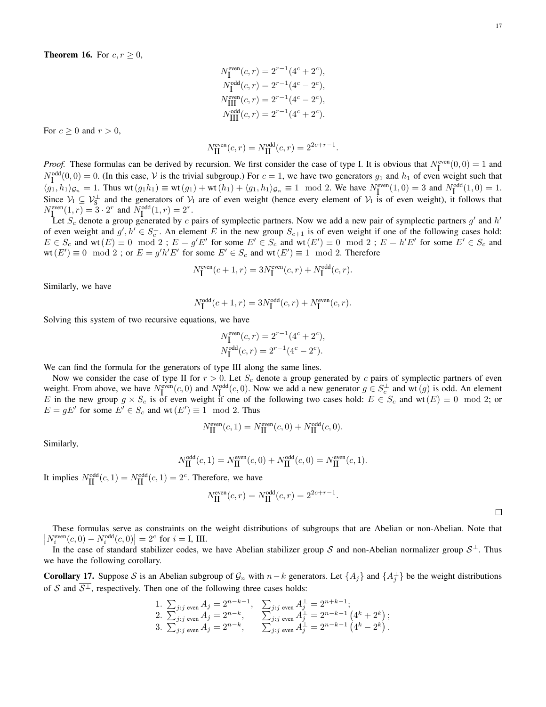$$
N_{\rm I}^{\rm even}(c,r)=2^{r-1}(4^c+2^c),
$$
  
\n
$$
N_{\rm I}^{\rm odd}(c,r)=2^{r-1}(4^c-2^c),
$$
  
\n
$$
N_{\rm III}^{\rm even}(c,r)=2^{r-1}(4^c-2^c),
$$
  
\n
$$
N_{\rm III}^{\rm odd}(c,r)=2^{r-1}(4^c+2^c).
$$

<span id="page-16-0"></span>For  $c \geq 0$  and  $r > 0$ ,

$$
N_{\rm II}^{\rm even}(c,r) = N_{\rm II}^{\rm odd}(c,r) = 2^{2c+r-1}
$$

.

*Proof.* These formulas can be derived by recursion. We first consider the case of type I. It is obvious that  $N_I^{\text{even}}(0,0) = 1$  and  $N_{\rm I}^{\rm odd}(0,0) = 0$ . (In this case, V is the trivial subgroup.) For  $c = 1$ , we have two generators  $g_1$  and  $h_1$  of even weight such that  $\langle g_1, h_1 \rangle_{\mathcal{G}_n} = 1$ . Thus wt $(g_1 h_1) \equiv \text{wt}(g_1) + \text{wt}(h_1) + \langle g_1, h_1 \rangle_{\mathcal{G}_n} \equiv 1 \mod 2$ . We have  $N^{\text{even}}_I(1,0) = 3$  and  $N^{\text{odd}}_I(1,0) = 1$ . Since  $V_1 \subseteq V_5^{\perp}$  and the generators of  $V_1$  are of even weight (hence every element of  $V_1$  is of even weight), it follows that  $N_{\text{I}}^{\text{even}}(1, r) = 3 \cdot 2^r$  and  $N_{\text{I}}^{\text{odd}}(1, r) = 2^r$ .

Let  $S_c$  denote a group generated by c pairs of symplectic partners. Now we add a new pair of symplectic partners  $g'$  and  $h'$ of even weight and  $g', h' \in S_c^{\perp}$ . An element E in the new group  $S_{c+1}$  is of even weight if one of the following cases hold:  $E \in S_c$  and wt $(E) \equiv 0 \mod 2$ ;  $E = g'E'$  for some  $E' \in S_c$  and wt $(E') \equiv 0 \mod 2$ ;  $E = h'E'$  for some  $E' \in S_c$  and wt  $(E') \equiv 0 \mod 2$ ; or  $E = g'h'E'$  for some  $E' \in S_c$  and wt  $(E') \equiv 1 \mod 2$ . Therefore

$$
N_{\rm I}^{\rm even}(c+1,r) = 3N_{\rm I}^{\rm even}(c,r) + N_{\rm I}^{\rm odd}(c,r).
$$

Similarly, we have

$$
N_{\rm I}^{\rm odd}(c+1,r) = 3N_{\rm I}^{\rm odd}(c,r) + N_{\rm I}^{\rm even}(c,r).
$$

Solving this system of two recursive equations, we have

$$
N_{\mathbf{I}}^{\text{even}}(c,r) = 2^{r-1}(4^c + 2^c),
$$
  

$$
N_{\mathbf{I}}^{\text{odd}}(c,r) = 2^{r-1}(4^c - 2^c).
$$

We can find the formula for the generators of type III along the same lines.

Now we consider the case of type II for  $r > 0$ . Let  $S_c$  denote a group generated by c pairs of symplectic partners of even weight. From above, we have  $N_{\text{I}_c}^{\text{even}}(c,0)$  and  $N_{\text{I}_c}^{\text{odd}}(c,0)$ . Now we add a new generator  $g \in S_c^{\perp}$  and wt $(g)$  is odd. An element E in the new group  $g \times S_c$  is of even weight if one of the following two cases hold:  $E \in S_c$  and wt $(E) \equiv 0 \mod 2$ ; or  $E = gE'$  for some  $E' \in S_c$  and wt $(E') \equiv 1 \mod 2$ . Thus

$$
N_{\text{II}}^{\text{even}}(c,1) = N_{\text{II}}^{\text{even}}(c,0) + N_{\text{II}}^{\text{odd}}(c,0).
$$

Similarly,

$$
N_{\text{II}}^{\text{odd}}(c,1) = N_{\text{II}}^{\text{even}}(c,0) + N_{\text{II}}^{\text{odd}}(c,0) = N_{\text{II}}^{\text{even}}(c,1).
$$

It implies  $N_{\text{II}}^{\text{odd}}(c, 1) = N_{\text{II}}^{\text{odd}}(c, 1) = 2^c$ . Therefore, we have

$$
N_{\text{II}}^{\text{even}}(c,r) = N_{\text{II}}^{\text{odd}}(c,r) = 2^{2c+r-1}.
$$

 $\Box$ 

These formulas serve as constraints on the weight distributions of subgroups that are Abelian or non-Abelian. Note that  $\left|N_i^{\text{even}}(c,0) - N_i^{\text{odd}}(c,0)\right| = 2^c$  for  $i =$  I, III.

In the case of standard stabilizer codes, we have Abelian stabilizer group S and non-Abelian normalizer group  $S^{\perp}$ . Thus we have the following corollary.

<span id="page-16-1"></span>**Corollary 17.** Suppose S is an Abelian subgroup of  $\mathcal{G}_n$  with  $n-k$  generators. Let  $\{A_j\}$  and  $\{A_j^{\perp}\}$  be the weight distributions of S and  $\overline{S^{\perp}}$ , respectively. Then one of the following three cases holds:

1. 
$$
\sum_{j:j}
$$
 even  $A_j = 2^{n-k-1}$ ,  $\sum_{j:j}$  even  $A_j^{\perp} = 2^{n+k-1}$ ;  
\n2.  $\sum_{j:j}$  even  $A_j = 2^{n-k}$ ,  $\sum_{j:j}$  even  $A_j^{\perp} = 2^{n-k-1} (4^k + 2^k)$ ;  
\n3.  $\sum_{j:j}$  even  $A_j = 2^{n-k}$ ,  $\sum_{j:j}$  even  $A_j^{\perp} = 2^{n-k-1} (4^k - 2^k)$ .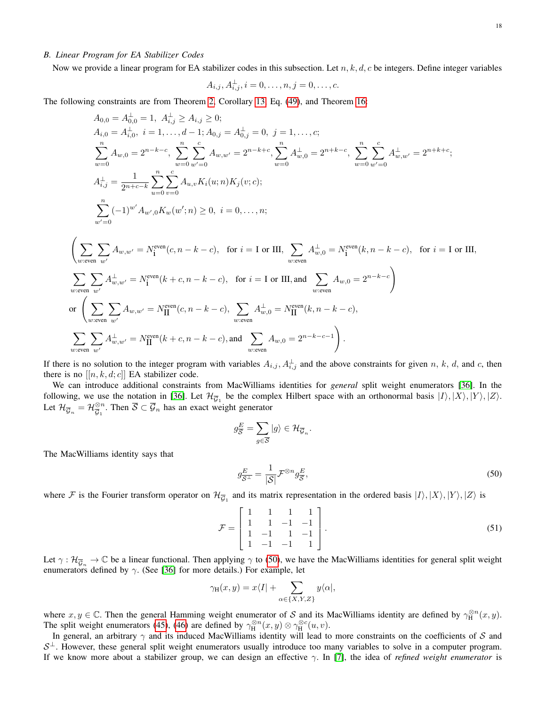# *B. Linear Program for EA Stabilizer Codes*

Now we provide a linear program for EA stabilizer codes in this subsection. Let  $n, k, d, c$  be integers. Define integer variables

$$
A_{i,j}, A_{i,j}^\perp, i=0,\ldots,n, j=0,\ldots,c.
$$

The following constraints are from Theorem [2,](#page-5-0) Corollary [13,](#page-14-3) Eq. [\(49\)](#page-15-3), and Theorem [16:](#page-16-0)

$$
A_{0,0} = A_{0,0}^{\perp} = 1, A_{i,j}^{\perp} \ge A_{i,j} \ge 0;
$$
  
\n
$$
A_{i,0} = A_{i,0}^{\perp}, i = 1, ..., d-1; A_{0,j} = A_{0,j}^{\perp} = 0, j = 1, ..., c;
$$
  
\n
$$
\sum_{w=0}^{n} A_{w,0} = 2^{n-k-c}, \sum_{w=0}^{n} \sum_{w'=0}^{c} A_{w,w'} = 2^{n-k+c}, \sum_{w=0}^{n} A_{w,0}^{\perp} = 2^{n+k-c}, \sum_{w=0}^{n} \sum_{w'=0}^{c} A_{w,w'}^{\perp} = 2^{n+k+c};
$$
  
\n
$$
A_{i,j}^{\perp} = \frac{1}{2^{n+c-k}} \sum_{u=0}^{n} \sum_{v=0}^{c} A_{u,v} K_i(u;n) K_j(v;c);
$$
  
\n
$$
\sum_{w'=0}^{n} (-1)^{w'} A_{w',0} K_w(w';n) \ge 0, i = 0, ..., n;
$$
  
\n
$$
\left(\sum_{w:\text{even } w'} \sum_{w'} A_{w,w'} = N_1^{\text{even}}(c, n-k-c), \text{ for } i = I \text{ or III}, \sum_{w:\text{even}} A_{w,0}^{\perp} = N_1^{\text{even}}(k, n-k-c), \text{ for } i = I \text{ or III}, \sum_{w:\text{even } w'} A_{w,0}^{\perp} = 2^{n-k-c}
$$
  
\n
$$
\sum_{w:\text{even } w'} A_{w,w'}^{\perp} = N_1^{\text{even}}(k+c, n-k-c), \sum_{w:\text{even}} A_{w,0}^{\perp} = N_1^{\text{even}}(k, n-k-c),
$$
  
\n
$$
\sum_{w:\text{even } w'} A_{w,w'}^{\perp} = N_1^{\text{even}}(c, n-k-c), \sum_{w:\text{even } w} A_{w,0}^{\perp} = 2^{n-k-c-1}
$$
  
\n
$$
\sum_{w:\text{even } w'} A_{w,w'}^{\perp} = N_1^{\text{even}}(k+c, n-k-c), \text{ and } \sum_{w:\text{even}} A_{w,0} = 2^{n-k-c-1}
$$

If there is no solution to the integer program with variables  $A_{i,j}$ ,  $A_{i,j}^{\perp}$  and the above constraints for given n, k, d, and c, then there is no  $[[n, k, d; c]]$  EA stabilizer code.

We can introduce additional constraints from MacWilliams identities for *general* split weight enumerators [\[36\]](#page-22-20). In the following, we use the notation in [\[36\]](#page-22-20). Let  $\mathcal{H}_{\overline{\mathcal{G}}_1}$  be the complex Hilbert space with an orthonormal basis  $|I\rangle, |X\rangle, |Y\rangle, |Z\rangle$ . Let  $\mathcal{H}_{\overline{\mathcal{G}}_n} = \mathcal{H}_{\overline{\mathcal{G}}_1}^{\otimes n}$  $\overline{S}_{\overline{G}_1}^n$ . Then  $\overline{S} \subset \overline{\mathcal{G}}_n$  has an exact weight generator

$$
g_{\overline{S}}^{E} = \sum_{g \in \overline{S}} |g\rangle \in \mathcal{H}_{\overline{G}_n}.
$$

The MacWilliams identity says that

<span id="page-17-0"></span>
$$
g_{\overline{\mathcal{S}^{\perp}}}^{\underline{E}} = \frac{1}{|\mathcal{S}|} \mathcal{F}^{\otimes n} g_{\overline{\mathcal{S}}}^{\underline{E}},\tag{50}
$$

where F is the Fourier transform operator on  $\mathcal{H}_{\overline{\mathcal{G}}_1}$  and its matrix representation in the ordered basis  $|I\rangle, |X\rangle, |Y\rangle, |Z\rangle$  is

$$
\mathcal{F} = \begin{bmatrix} 1 & 1 & 1 & 1 \\ 1 & 1 & -1 & -1 \\ 1 & -1 & 1 & -1 \\ 1 & -1 & -1 & 1 \end{bmatrix}.
$$
 (51)

Let  $\gamma : \mathcal{H}_{\overline{\mathcal{G}}_n} \to \mathbb{C}$  be a linear functional. Then applying  $\gamma$  to [\(50\)](#page-17-0), we have the MacWilliams identities for general split weight enumerators defined by  $\gamma$ . (See [\[36\]](#page-22-20) for more details.) For example, let

$$
\gamma_{\rm H}(x,y) = x\langle I| + \sum_{\alpha \in \{X,Y,Z\}} y\langle \alpha|,
$$

where  $x, y \in \mathbb{C}$ . Then the general Hamming weight enumerator of S and its MacWilliams identity are defined by  $\gamma_H^{\otimes n}(x, y)$ . The split weight enumerators [\(45\)](#page-14-5), [\(46\)](#page-14-6) are defined by  $\gamma_H^{\otimes n}(x, y) \otimes \gamma_H^{\otimes c}(u, v)$ .

In general, an arbitrary  $\gamma$  and its induced MacWilliams identity will lead to more constraints on the coefficients of S and  $S^{\perp}$ . However, these general split weight enumerators usually introduce too many variables to solve in a computer program. If we know more about a stabilizer group, we can design an effective  $\gamma$ . In [\[7\]](#page-21-6), the idea of *refined weight enumerator* is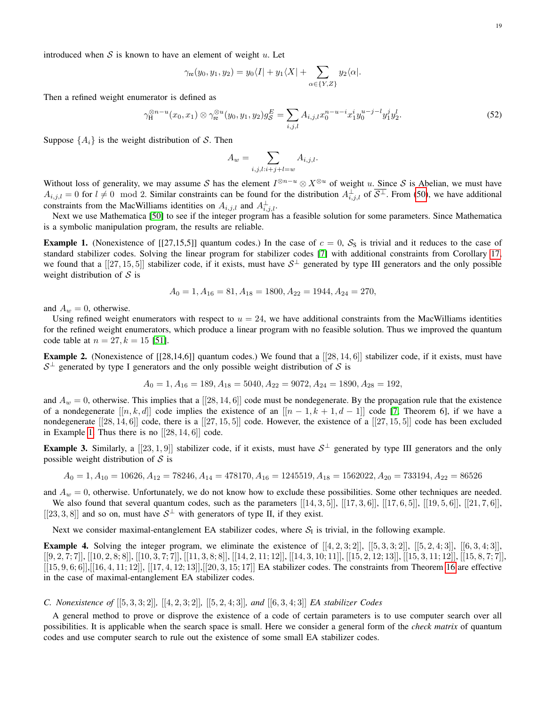$$
\gamma_{\rm re}(y_0, y_1, y_2) = y_0 \langle I | + y_1 \langle X | + \sum_{\alpha \in \{Y, Z\}} y_2 \langle \alpha |.
$$

Then a refined weight enumerator is defined as

$$
\gamma_{\rm H}^{\otimes n-u}(x_0, x_1) \otimes \gamma_{\rm re}^{\otimes u}(y_0, y_1, y_2)g_{\mathcal{S}}^E = \sum_{i,j,l} A_{i,j,l} x_0^{n-u-i} x_1^i y_0^{u-j-l} y_1^j y_2^l. \tag{52}
$$

Suppose  $\{A_i\}$  is the weight distribution of S. Then

<span id="page-18-2"></span>
$$
A_w = \sum_{i,j,l:i+j+l=w} A_{i,j,l}.
$$

Without loss of generality, we may assume S has the element  $I^{\otimes n-u} \otimes X^{\otimes u}$  of weight u. Since S is Abelian, we must have  $A_{i,j,l} = 0$  for  $l \neq 0 \mod 2$ . Similar constraints can be found for the distribution  $A_{i,j,l}^{\perp}$  of  $\overline{S^{\perp}}$ . From [\(50\)](#page-17-0), we have additional constraints from the MacWilliams identities on  $A_{i,j,l}$  and  $A_{i,j,l}^{\perp}$ .

Next we use Mathematica [\[50\]](#page-22-33) to see if the integer program has a feasible solution for some parameters. Since Mathematica is a symbolic manipulation program, the results are reliable.

<span id="page-18-0"></span>**Example 1.** (Nonexistence of [[27,15,5]] quantum codes.) In the case of  $c = 0$ ,  $S_8$  is trivial and it reduces to the case of standard stabilizer codes. Solving the linear program for stabilizer codes [\[7\]](#page-21-6) with additional constraints from Corollary [17,](#page-16-1) we found that a  $[[27, 15, 5]]$  stabilizer code, if it exists, must have  $S^{\perp}$  generated by type III generators and the only possible weight distribution of  $S$  is

$$
A_0 = 1, A_{16} = 81, A_{18} = 1800, A_{22} = 1944, A_{24} = 270,
$$

and  $A_w = 0$ , otherwise.

Using refined weight enumerators with respect to  $u = 24$ , we have additional constraints from the MacWilliams identities for the refined weight enumerators, which produce a linear program with no feasible solution. Thus we improved the quantum code table at  $n = 27, k = 15$  [\[51\]](#page-22-34).

**Example 2.** (Nonexistence of  $[[28,14,6]]$  quantum codes.) We found that a  $[[28,14,6]]$  stabilizer code, if it exists, must have  $S^{\perp}$  generated by type I generators and the only possible weight distribution of S is

$$
A_0 = 1, A_{16} = 189, A_{18} = 5040, A_{22} = 9072, A_{24} = 1890, A_{28} = 192,
$$

and  $A_w = 0$ , otherwise. This implies that a [[28, 14, 6]] code must be nondegenerate. By the propagation rule that the existence of a nondegenerate  $[[n, k, d]]$  code implies the existence of an  $[[n - 1, k + 1, d - 1]]$  code [\[7,](#page-21-6) Theorem 6], if we have a nondegenerate  $[[28, 14, 6]]$  code, there is a  $[[27, 15, 5]]$  code. However, the existence of a  $[[27, 15, 5]]$  code has been excluded in Example [1.](#page-18-0) Thus there is no  $[[28, 14, 6]]$  code.

**Example 3.** Similarly, a  $[[23,1,9]]$  stabilizer code, if it exists, must have  $S^{\perp}$  generated by type III generators and the only possible weight distribution of  $S$  is

$$
A_0 = 1, A_{10} = 10626, A_{12} = 78246, A_{14} = 478170, A_{16} = 1245519, A_{18} = 1562022, A_{20} = 733194, A_{22} = 86526
$$

and  $A_w = 0$ , otherwise. Unfortunately, we do not know how to exclude these possibilities. Some other techniques are needed.

We also found that several quantum codes, such as the parameters  $[[14, 3, 5]], [[17, 3, 6]], [[17, 6, 5]], [[19, 5, 6]], [[21, 7, 6]],$ [[23, 3, 8]] and so on, must have  $S^{\perp}$  with generators of type II, if they exist.

Next we consider maximal-entanglement EA stabilizer codes, where  $S_I$  is trivial, in the following example.

**Example 4.** Solving the integer program, we eliminate the existence of  $[[4, 2, 3; 2]], [[5, 3, 3; 2]], [[5, 2, 4; 3]], [[6, 3, 4; 3]],$  $[[9, 2, 7; 7], [[10, 2, 8; 8]], [[10, 3, 7; 7]], [[11, 3, 8; 8]], [[14, 2, 11; 12]], [[14, 3, 10; 11]], [[15, 2, 12; 13]], [[15, 3, 11; 12]], [[15, 8, 7; 7]],$  $[[15, 9, 6; 6]$ ,  $[[16, 4, 11; 12]$ ,  $[[17, 4, 12; 13]$ ,  $[[20, 3, 15; 17]$  EA stabilizer codes. The constraints from Theorem [16](#page-16-0) are effective in the case of maximal-entanglement EA stabilizer codes.

# <span id="page-18-1"></span>*C. Nonexistence of* [[5, 3, 3; 2]]*,* [[4, 2, 3; 2]]*,* [[5, 2, 4; 3]]*, and* [[6, 3, 4; 3]] *EA stabilizer Codes*

A general method to prove or disprove the existence of a code of certain parameters is to use computer search over all possibilities. It is applicable when the search space is small. Here we consider a general form of the *check matrix* of quantum codes and use computer search to rule out the existence of some small EA stabilizer codes.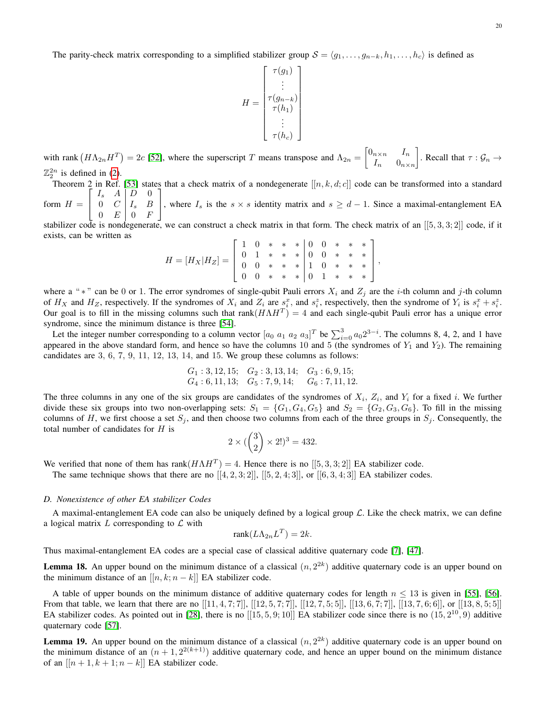The parity-check matrix corresponding to a simplified stabilizer group  $S = \langle g_1, \ldots, g_{n-k}, h_1, \ldots, h_c \rangle$  is defined as

$$
H = \begin{bmatrix} \tau(g_1) \\ \vdots \\ \tau(g_{n-k}) \\ \tau(h_1) \\ \vdots \\ \tau(h_c) \end{bmatrix}
$$

with rank  $(H\Lambda_{2n}H^T)=2c$  [\[52\]](#page-22-35), where the superscript T means transpose and  $\Lambda_{2n} = \begin{bmatrix} 0_{n \times n} & I_n \\ I_n & 0 \end{bmatrix}$  $I_n$   $0_{n \times n}$ . Recall that  $\tau : \mathcal{G}_n \to$  $\mathbb{Z}_2^{2n}$  is defined in [\(2\)](#page-1-0).

Theorem 2 in Ref. [\[53\]](#page-22-36) states that a check matrix of a nondegenerate  $[[n, k, d; c]]$  code can be transformed into a standard  $\begin{bmatrix} I_s & A & D & 0 \end{bmatrix}$ 1

form  $H =$  $\begin{array}{|c|c|c|c|c|c|} \hline 0 & C & I_s & B \\ \hline 0 & \Gamma & 0 & \Gamma \end{array}$  $0 E 0 F$ , where  $I_s$  is the  $s \times s$  identity matrix and  $s \geq d-1$ . Since a maximal-entanglement EA

stabilizer code is nondegenerate, we can construct a check matrix in that form. The check matrix of an  $[[5, 3, 3, 2]]$  code, if it exists, can be written as

$$
H = [H_X | H_Z] = \left[ \begin{array}{rrrrr} 1 & 0 & * & * & * & 0 & 0 & * & * & * \\ 0 & 1 & * & * & * & 0 & 0 & * & * & * \\ 0 & 0 & * & * & * & 1 & 0 & * & * & * \\ 0 & 0 & * & * & * & 0 & 1 & * & * & * \end{array} \right]
$$

,

where a " \*" can be 0 or 1. The error syndromes of single-qubit Pauli errors  $X_i$  and  $Z_j$  are the *i*-th column and j-th column of  $H_X$  and  $H_Z$ , respectively. If the syndromes of  $X_i$  and  $Z_i$  are  $s_i^x$ , and  $s_i^z$ , respectively, then the syndrome of  $Y_i$  is  $s_i^x + s_i^z$ . Our goal is to fill in the missing columns such that rank $(H\Lambda H^T) = 4$  and each single-qubit Pauli error has a unique error syndrome, since the minimum distance is three [\[54\]](#page-22-37).

Let the integer number corresponding to a column vector  $[a_0 \ a_1 \ a_2 \ a_3]^T$  be  $\sum_{i=0}^3 a_0 2^{3-i}$ . The columns 8, 4, 2, and 1 have appeared in the above standard form, and hence so have the columns 10 and 5 (the syndromes of  $Y_1$  and  $Y_2$ ). The remaining candidates are 3, 6, 7, 9, 11, 12, 13, 14, and 15. We group these columns as follows:

$$
G_1: 3, 12, 15;
$$
  $G_2: 3, 13, 14;$   $G_3: 6, 9, 15;$   
 $G_4: 6, 11, 13;$   $G_5: 7, 9, 14;$   $G_6: 7, 11, 12.$ 

The three columns in any one of the six groups are candidates of the syndromes of  $X_i$ ,  $Z_i$ , and  $Y_i$  for a fixed i. We further divide these six groups into two non-overlapping sets:  $S_1 = \{G_1, G_4, G_5\}$  and  $S_2 = \{G_2, G_3, G_6\}$ . To fill in the missing columns of H, we first choose a set  $S_i$ , and then choose two columns from each of the three groups in  $S_i$ . Consequently, the total number of candidates for  $H$  is

$$
2 \times (\binom{3}{2} \times 2!)^3 = 432.
$$

We verified that none of them has rank $(H \Lambda H^T) = 4$ . Hence there is no  $[[5, 3, 3; 2]]$  EA stabilizer code.

The same technique shows that there are no  $[[4, 2, 3; 2]], [[5, 2, 4; 3]],$  or  $[[6, 3, 4; 3]]$  EA stabilizer codes.

# *D. Nonexistence of other EA stabilizer Codes*

A maximal-entanglement EA code can also be uniquely defined by a logical group  $\mathcal L$ . Like the check matrix, we can define a logical matrix  $L$  corresponding to  $L$  with

$$
rank(L\Lambda_{2n}L^T) = 2k.
$$

Thus maximal-entanglement EA codes are a special case of classical additive quaternary code [\[7\]](#page-21-6), [\[47\]](#page-22-30).

<span id="page-19-1"></span>**Lemma 18.** An upper bound on the minimum distance of a classical  $(n, 2^{2k})$  additive quaternary code is an upper bound on the minimum distance of an  $[[n, k; n - k]]$  EA stabilizer code.

A table of upper bounds on the minimum distance of additive quaternary codes for length  $n \leq 13$  is given in [\[55\]](#page-22-38), [\[56\]](#page-22-39). From that table, we learn that there are no  $[[11, 4, 7; 7]$ ,  $[[12, 5, 7; 7]$ ,  $[[12, 7, 5; 5]$ ,  $[[13, 6, 7; 7]$ ,  $[[13, 7, 6; 6]$ , or  $[[13, 8, 5; 5]$ EA stabilizer codes. As pointed out in [\[28\]](#page-22-12), there is no  $[[15, 5, 9; 10]]$  EA stabilizer code since there is no  $(15, 2^{10}, 9)$  additive quaternary code [\[57\]](#page-22-40).

<span id="page-19-0"></span>**Lemma 19.** An upper bound on the minimum distance of a classical  $(n, 2^{2k})$  additive quaternary code is an upper bound on the minimum distance of an  $(n + 1, 2^{2(k+1)})$  additive quaternary code, and hence an upper bound on the minimum distance of an  $[[n+1, k+1; n-k]]$  EA stabilizer code.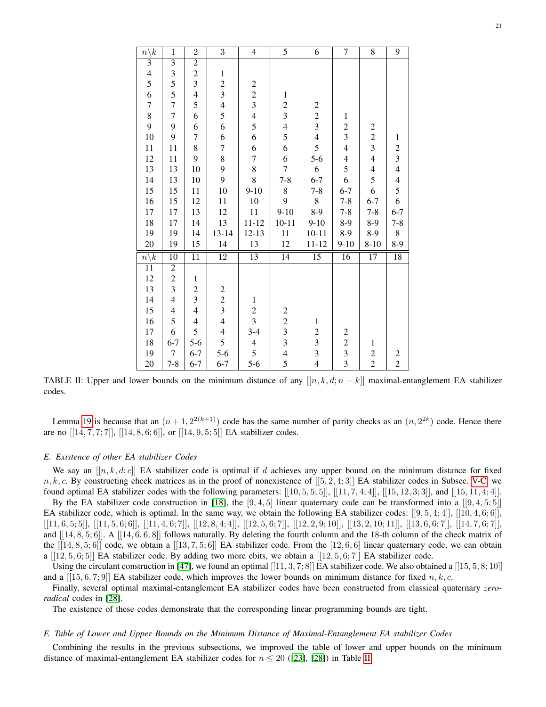<span id="page-20-0"></span>

| $\overline{n\backslash k}$                 | $\mathbf{1}$            | $\overline{2}$          | $\overline{3}$                             | $\overline{4}$          | 5                        | $\overline{6}$                                  | 7                                               | $\overline{8}$                             | 9                                          |
|--------------------------------------------|-------------------------|-------------------------|--------------------------------------------|-------------------------|--------------------------|-------------------------------------------------|-------------------------------------------------|--------------------------------------------|--------------------------------------------|
| $\overline{\mathbf{3}}$                    | $\overline{\mathbf{3}}$ | $\overline{2}$          |                                            |                         |                          |                                                 |                                                 |                                            |                                            |
|                                            | $\mathfrak{Z}$          | $\overline{c}$          | $\,1$                                      |                         |                          |                                                 |                                                 |                                            |                                            |
| $\begin{array}{c} 4 \\ 5 \\ 6 \end{array}$ | 5                       | $\overline{\mathbf{3}}$ | $\frac{2}{3}$<br>4<br>5<br>6               | $\overline{\mathbf{c}}$ |                          |                                                 |                                                 |                                            |                                            |
|                                            | 5                       | $\overline{4}$          |                                            | $\frac{2}{3}$           | $\,1$                    |                                                 |                                                 |                                            |                                            |
| $\overline{7}$                             | $\boldsymbol{7}$        | 5                       |                                            |                         | $\overline{c}$           | $\boldsymbol{2}$                                |                                                 |                                            |                                            |
| $\overline{8}$                             | $\boldsymbol{7}$        | 6                       |                                            | $\frac{4}{5}$           | $\overline{\mathbf{3}}$  |                                                 | $\mathbf{1}$                                    |                                            |                                            |
| 9                                          | 9                       | 6                       |                                            |                         | $\overline{\mathcal{L}}$ | $\begin{array}{c} 2 \\ 3 \\ 4 \\ 5 \end{array}$ | $\frac{2}{3}$                                   |                                            |                                            |
| $10\,$                                     | 9                       | 7                       | $\begin{array}{c} 6 \\ 7 \\ 8 \end{array}$ | 6                       | 5                        |                                                 |                                                 | $\begin{array}{c} 2 \\ 2 \\ 3 \end{array}$ | $\,1\,$                                    |
| $11\,$                                     | 11                      | 8                       |                                            | 6                       | 6                        |                                                 | $\overline{\mathcal{L}}$                        |                                            |                                            |
| $12\,$                                     | 11                      | 9                       |                                            | $\overline{7}$          | 6                        | $5-6$                                           | $\overline{\mathcal{L}}$                        | $\overline{4}$                             | $\begin{array}{c} 2 \\ 3 \\ 4 \end{array}$ |
| 13                                         | 13                      | 10                      | 9<br>9                                     | 8                       | $\overline{7}$           | $\boldsymbol{6}$                                | $\frac{5}{6}$                                   | $\overline{4}$                             |                                            |
| 14                                         | 13                      | 10                      |                                            | 8                       | $7 - 8$                  | $6 - 7$                                         |                                                 | 5                                          | $\begin{array}{c} 4 \\ 5 \\ 6 \end{array}$ |
| 15                                         | 15                      | 11                      | $10\,$                                     | $9 - 10$                | $\,8$                    | $7 - 8$                                         | $6 - 7$                                         | 6                                          |                                            |
| 16                                         | 15                      | 12                      | 11                                         | $10\,$                  | $\overline{9}$           | $\,8\,$                                         | $7 - 8$                                         | $6 - 7$                                    |                                            |
| $17\,$                                     | 17                      | 13                      | 12                                         | 11                      | $9 - 10$                 | $8-9$                                           | $7 - 8$                                         | $7 - 8$                                    | $6 - 7$                                    |
| 18                                         | 17                      | 14                      | 13                                         | $11 - 12$               | $10 - 11$                | $9 - 10$                                        | $8 - 9$                                         | $8-9$                                      | $7 - 8$                                    |
| 19                                         | 19                      | 14                      | $13 - 14$                                  | $12 - 13$               | $11\,$                   | $10 - 11$                                       | $8-9$                                           | 8-9                                        | $8\,$                                      |
| 20                                         | 19                      | 15                      | 14                                         | 13                      | 12                       | $11 - 12$                                       | $9 - 10$                                        | $8 - 10$                                   | 8-9                                        |
| $n\backslash k$                            | 10                      | 11                      | $\overline{12}$                            | $\overline{13}$         | 14                       | $\overline{15}$                                 | 16                                              | 17                                         | 18                                         |
| $\overline{11}$                            | $\overline{2}$          |                         |                                            |                         |                          |                                                 |                                                 |                                            |                                            |
| 12                                         | $\overline{c}$          | $\mathbf{1}$            |                                            |                         |                          |                                                 |                                                 |                                            |                                            |
| 13                                         | $\overline{\mathbf{3}}$ | $\overline{c}$          |                                            |                         |                          |                                                 |                                                 |                                            |                                            |
| 14                                         | $\overline{4}$          | $\overline{\mathbf{3}}$ | $\begin{array}{c} 2 \\ 2 \\ 3 \end{array}$ | $\,1$                   |                          |                                                 |                                                 |                                            |                                            |
| 15                                         | $\overline{4}$          | $\overline{4}$          |                                            | $\frac{2}{3}$           | $\overline{\mathbf{c}}$  |                                                 |                                                 |                                            |                                            |
| 16                                         | 5                       | $\overline{4}$          | $\overline{4}$                             |                         | $\frac{2}{3}$            | $\,1\,$                                         |                                                 |                                            |                                            |
| 17                                         | 6                       | 5                       | $\frac{4}{5}$                              | $3-4$                   |                          |                                                 |                                                 |                                            |                                            |
| $18\,$                                     | $6 - 7$                 | $5 - 6$                 |                                            | $\overline{4}$          | $\overline{\mathbf{3}}$  |                                                 |                                                 | $\,1\,$                                    |                                            |
| 19                                         | $\boldsymbol{7}$        | $6 - 7$                 | $5 - 6$                                    | 5                       | $\overline{\mathcal{L}}$ | $\begin{array}{c} 2 \\ 3 \\ 3 \\ 4 \end{array}$ | $\begin{array}{c} 2 \\ 2 \\ 3 \\ 3 \end{array}$ | $\overline{c}$                             | $\overline{\mathbf{c}}$                    |
| 20                                         | $7 - 8$                 | $6 - 7$                 | $6 - 7$                                    | $5 - 6$                 | 5                        |                                                 |                                                 | $\overline{c}$                             | $\overline{c}$                             |

TABLE II: Upper and lower bounds on the minimum distance of any  $[[n, k, d; n - k]]$  maximal-entanglement EA stabilizer codes.

Lemma [19](#page-19-0) is because that an  $(n+1, 2^{2(k+1)})$  code has the same number of parity checks as an  $(n, 2^{2k})$  code. Hence there are no  $[[14, 7, 7; 7]], [[14, 8, 6; 6]],$  or  $[[14, 9, 5; 5]]$  EA stabilizer codes.

# *E. Existence of other EA stabilizer Codes*

We say an  $[[n, k, d; c]]$  EA stabilizer code is optimal if d achieves any upper bound on the minimum distance for fixed  $n, k, c$ . By constructing check matrices as in the proof of nonexistence of  $[[5, 2, 4; 3]]$  EA stabilizer codes in Subsec. [V-C,](#page-18-1) we found optimal EA stabilizer codes with the following parameters:  $[[10, 5, 5, 5]], [[11, 7, 4, 4]], [[15, 12, 3, 3]],$  and  $[[15, 11, 4, 4]].$ 

By the EA stabilizer code construction in [\[18\]](#page-22-1), the [9, 4, 5] linear quaternary code can be transformed into a  $[[9, 4, 5; 5]]$ EA stabilizer code, which is optimal. In the same way, we obtain the following EA stabilizer codes:  $[[9, 5, 4; 4]$ ,  $[[10, 4, 6; 6]$ ,  $[[11, 6, 5; 5]], [[11, 5, 6; 6]], [[11, 4, 6; 7]], [[12, 8, 4; 4]], [[12, 5, 6; 7]], [[12, 2, 9; 10]], [[13, 2, 10; 11]], [[13, 6, 6; 7]], [[14, 7, 6; 7]],$ and  $[[14, 8, 5; 6]]$ . A  $[[14, 6, 6; 8]]$  follows naturally. By deleting the fourth column and the 18-th column of the check matrix of the  $[[14, 8, 5; 6]]$  code, we obtain a  $[[13, 7, 5; 6]]$  EA stabilizer code. From the  $[12, 6, 6]$  linear quaternary code, we can obtain a  $[[12, 5, 6; 5]]$  EA stabilizer code. By adding two more ebits, we obtain a  $[[12, 5, 6; 7]]$  EA stabilizer code.

Using the circulant construction in [\[47\]](#page-22-30), we found an optimal  $[[11, 3, 7, 8]]$  EA stabilizer code. We also obtained a  $[[15, 5, 8, 10]]$ and a [[15, 6, 7; 9]] EA stabilizer code, which improves the lower bounds on minimum distance for fixed n, k, c.

Finally, several optimal maximal-entanglement EA stabilizer codes have been constructed from classical quaternary *zeroradical* codes in [\[28\]](#page-22-12).

The existence of these codes demonstrate that the corresponding linear programming bounds are tight.

## *F. Table of Lower and Upper Bounds on the Minimum Distance of Maximal-Entanglement EA stabilizer Codes*

Combining the results in the previous subsections, we improved the table of lower and upper bounds on the minimum distance of maximal-entanglement EA stabilizer codes for  $n \leq 20$  ([\[23\]](#page-22-6), [\[28\]](#page-22-12)) in Table [II.](#page-20-0)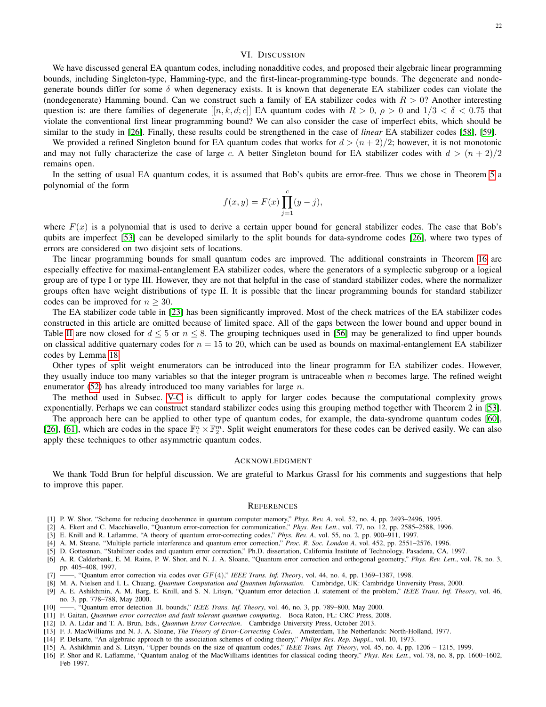## VI. DISCUSSION

We have discussed general EA quantum codes, including nonadditive codes, and proposed their algebraic linear programming bounds, including Singleton-type, Hamming-type, and the first-linear-programming-type bounds. The degenerate and nondegenerate bounds differ for some  $\delta$  when degeneracy exists. It is known that degenerate EA stabilizer codes can violate the (nondegenerate) Hamming bound. Can we construct such a family of EA stabilizer codes with  $R > 0$ ? Another interesting question is: are there families of degenerate  $[[n, k, d; c]]$  EA quantum codes with  $R > 0$ ,  $\rho > 0$  and  $1/3 < \delta < 0.75$  that violate the conventional first linear programming bound? We can also consider the case of imperfect ebits, which should be similar to the study in [\[26\]](#page-22-9). Finally, these results could be strengthened in the case of *linear* EA stabilizer codes [\[58\]](#page-22-41), [\[59\]](#page-22-42).

We provided a refined Singleton bound for EA quantum codes that works for  $d > (n+2)/2$ ; however, it is not monotonic and may not fully characterize the case of large c. A better Singleton bound for EA stabilizer codes with  $d > (n + 2)/2$ remains open.

In the setting of usual EA quantum codes, it is assumed that Bob's qubits are error-free. Thus we chose in Theorem [5](#page-7-4) a polynomial of the form

$$
f(x, y) = F(x) \prod_{j=1}^{c} (y - j),
$$

where  $F(x)$  is a polynomial that is used to derive a certain upper bound for general stabilizer codes. The case that Bob's qubits are imperfect [\[53\]](#page-22-36) can be developed similarly to the split bounds for data-syndrome codes [\[26\]](#page-22-9), where two types of errors are considered on two disjoint sets of locations.

The linear programming bounds for small quantum codes are improved. The additional constraints in Theorem [16](#page-16-0) are especially effective for maximal-entanglement EA stabilizer codes, where the generators of a symplectic subgroup or a logical group are of type I or type III. However, they are not that helpful in the case of standard stabilizer codes, where the normalizer groups often have weight distributions of type II. It is possible that the linear programming bounds for standard stabilizer codes can be improved for  $n > 30$ .

The EA stabilizer code table in [\[23\]](#page-22-6) has been significantly improved. Most of the check matrices of the EA stabilizer codes constructed in this article are omitted because of limited space. All of the gaps between the lower bound and upper bound in Table [II](#page-20-0) are now closed for  $d \leq 5$  or  $n \leq 8$ . The grouping techniques used in [\[56\]](#page-22-39) may be generalized to find upper bounds on classical additive quaternary codes for  $n = 15$  to 20, which can be used as bounds on maximal-entanglement EA stabilizer codes by Lemma [18.](#page-19-1)

Other types of split weight enumerators can be introduced into the linear programm for EA stabilizer codes. However, they usually induce too many variables so that the integer program is untraceable when  $n$  becomes large. The refined weight enumerator  $(52)$  has already introduced too many variables for large n.

The method used in Subsec. [V-C](#page-18-1) is difficult to apply for larger codes because the computational complexity grows exponentially. Perhaps we can construct standard stabilizer codes using this grouping method together with Theorem 2 in [\[53\]](#page-22-36).

The approach here can be applied to other type of quantum codes, for example, the data-syndrome quantum codes [\[60\]](#page-22-43), [\[26\]](#page-22-9), [\[61\]](#page-22-44), which are codes in the space  $\mathbb{F}_4^n \times \mathbb{F}_2^m$ . Split weight enumerators for these codes can be derived easily. We can also apply these techniques to other asymmetric quantum codes.

#### ACKNOWLEDGMENT

We thank Todd Brun for helpful discussion. We are grateful to Markus Grassl for his comments and suggestions that help to improve this paper.

#### **REFERENCES**

- <span id="page-21-0"></span>[1] P. W. Shor, "Scheme for reducing decoherence in quantum computer memory," *Phys. Rev. A*, vol. 52, no. 4, pp. 2493–2496, 1995.
- <span id="page-21-1"></span>[2] A. Ekert and C. Macchiavello, "Quantum error-correction for communication," *Phys. Rev. Lett.*, vol. 77, no. 12, pp. 2585–2588, 1996.
- <span id="page-21-2"></span>[3] E. Knill and R. Laflamme, "A theory of quantum error-correcting codes," *Phys. Rev. A*, vol. 55, no. 2, pp. 900–911, 1997.
- <span id="page-21-3"></span>[4] A. M. Steane, "Multiple particle interference and quantum error correction," *Proc. R. Soc. London A*, vol. 452, pp. 2551–2576, 1996.
- <span id="page-21-4"></span>[5] D. Gottesman, "Stabilizer codes and quantum error correction," Ph.D. dissertation, California Institute of Technology, Pasadena, CA, 1997.
- <span id="page-21-5"></span>[6] A. R. Calderbank, E. M. Rains, P. W. Shor, and N. J. A. Sloane, "Quantum error correction and orthogonal geometry," *Phys. Rev. Lett.*, vol. 78, no. 3, pp. 405–408, 1997.
- <span id="page-21-6"></span>[7]  $\frac{1}{\sqrt{7}}$  "Quantum error correction via codes over  $GF(4)$ ," *IEEE Trans. Inf. Theory*, vol. 44, no. 4, pp. 1369–1387, 1998.
- <span id="page-21-7"></span>[8] M. A. Nielsen and I. L. Chuang, *Quantum Computation and Quantum Information*. Cambridge, UK: Cambridge University Press, 2000.
- <span id="page-21-8"></span>[9] A. E. Ashikhmin, A. M. Barg, E. Knill, and S. N. Litsyn, "Quantum error detection .I. statement of the problem," *IEEE Trans. Inf. Theory*, vol. 46, no. 3, pp. 778–788, May 2000.
- <span id="page-21-9"></span>[10] ——, "Quantum error detection .II. bounds," *IEEE Trans. Inf. Theory*, vol. 46, no. 3, pp. 789–800, May 2000.
- <span id="page-21-10"></span>[11] F. Gaitan, *Quantum error correction and fault tolerant quantum computing*. Boca Raton, FL: CRC Press, 2008.
- <span id="page-21-11"></span>[12] D. A. Lidar and T. A. Brun, Eds., *Quantum Error Correction*. Cambridge University Press, October 2013.
- <span id="page-21-12"></span>[13] F. J. MacWilliams and N. J. A. Sloane, *The Theory of Error-Correcting Codes*. Amsterdam, The Netherlands: North-Holland, 1977.
- <span id="page-21-13"></span>[14] P. Delsarte, "An algebraic approach to the association schemes of coding theory," *Philips Res. Rep. Suppl.*, vol. 10, 1973.
- <span id="page-21-14"></span>[15] A. Ashikhmin and S. Litsyn, "Upper bounds on the size of quantum codes," *IEEE Trans. Inf. Theory*, vol. 45, no. 4, pp. 1206 – 1215, 1999.
- <span id="page-21-15"></span>[16] P. Shor and R. Laflamme, "Quantum analog of the MacWilliams identities for classical coding theory," *Phys. Rev. Lett.*, vol. 78, no. 8, pp. 1600–1602, Feb 1997.